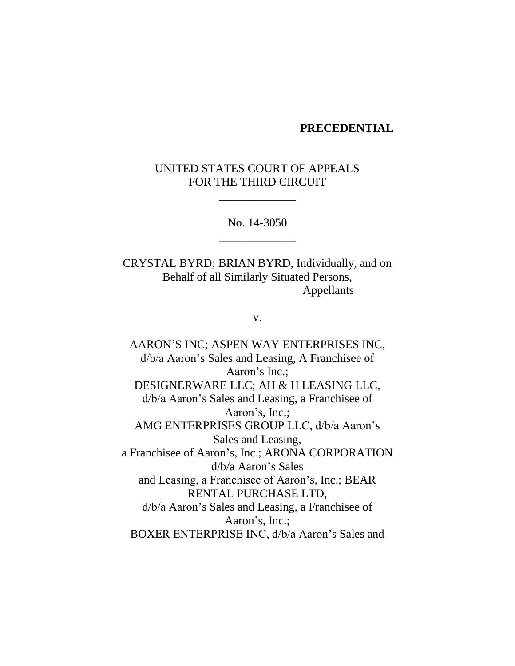#### **PRECEDENTIAL**

# UNITED STATES COURT OF APPEALS FOR THE THIRD CIRCUIT

\_\_\_\_\_\_\_\_\_\_\_\_\_

No. 14-3050 \_\_\_\_\_\_\_\_\_\_\_\_\_

CRYSTAL BYRD; BRIAN BYRD, Individually, and on Behalf of all Similarly Situated Persons, Appellants

v.

AARON'S INC; ASPEN WAY ENTERPRISES INC, d/b/a Aaron's Sales and Leasing, A Franchisee of Aaron's Inc.; DESIGNERWARE LLC; AH & H LEASING LLC, d/b/a Aaron's Sales and Leasing, a Franchisee of Aaron's, Inc.; AMG ENTERPRISES GROUP LLC, d/b/a Aaron's Sales and Leasing, a Franchisee of Aaron's, Inc.; ARONA CORPORATION d/b/a Aaron's Sales and Leasing, a Franchisee of Aaron's, Inc.; BEAR RENTAL PURCHASE LTD, d/b/a Aaron's Sales and Leasing, a Franchisee of Aaron's, Inc.; BOXER ENTERPRISE INC, d/b/a Aaron's Sales and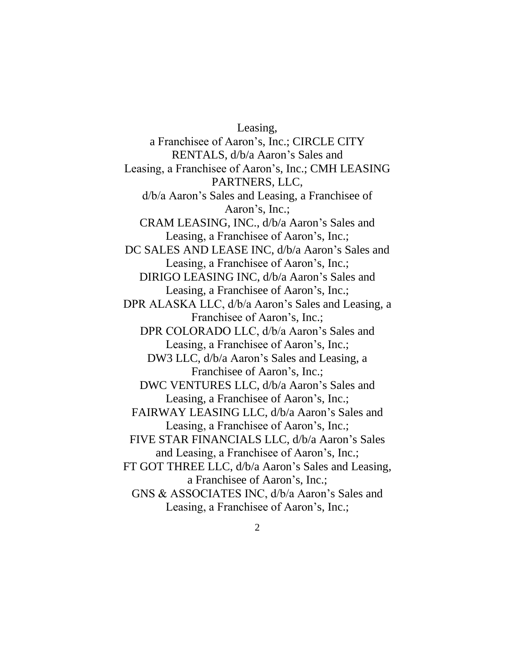Leasing, a Franchisee of Aaron's, Inc.; CIRCLE CITY RENTALS, d/b/a Aaron's Sales and Leasing, a Franchisee of Aaron's, Inc.; CMH LEASING PARTNERS, LLC, d/b/a Aaron's Sales and Leasing, a Franchisee of Aaron's, Inc.; CRAM LEASING, INC., d/b/a Aaron's Sales and Leasing, a Franchisee of Aaron's, Inc.; DC SALES AND LEASE INC, d/b/a Aaron's Sales and Leasing, a Franchisee of Aaron's, Inc.; DIRIGO LEASING INC, d/b/a Aaron's Sales and Leasing, a Franchisee of Aaron's, Inc.; DPR ALASKA LLC, d/b/a Aaron's Sales and Leasing, a Franchisee of Aaron's, Inc.; DPR COLORADO LLC, d/b/a Aaron's Sales and Leasing, a Franchisee of Aaron's, Inc.; DW3 LLC, d/b/a Aaron's Sales and Leasing, a Franchisee of Aaron's, Inc.; DWC VENTURES LLC, d/b/a Aaron's Sales and Leasing, a Franchisee of Aaron's, Inc.; FAIRWAY LEASING LLC, d/b/a Aaron's Sales and Leasing, a Franchisee of Aaron's, Inc.; FIVE STAR FINANCIALS LLC, d/b/a Aaron's Sales and Leasing, a Franchisee of Aaron's, Inc.; FT GOT THREE LLC, d/b/a Aaron's Sales and Leasing, a Franchisee of Aaron's, Inc.; GNS & ASSOCIATES INC, d/b/a Aaron's Sales and Leasing, a Franchisee of Aaron's, Inc.;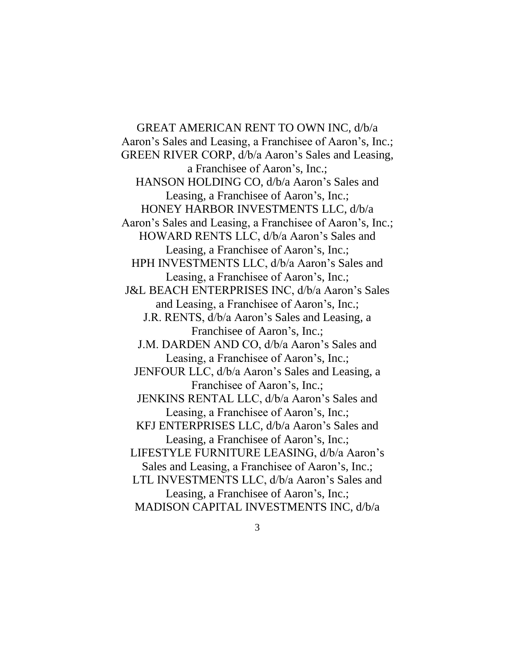GREAT AMERICAN RENT TO OWN INC, d/b/a Aaron's Sales and Leasing, a Franchisee of Aaron's, Inc.; GREEN RIVER CORP, d/b/a Aaron's Sales and Leasing, a Franchisee of Aaron's, Inc.; HANSON HOLDING CO, d/b/a Aaron's Sales and Leasing, a Franchisee of Aaron's, Inc.; HONEY HARBOR INVESTMENTS LLC, d/b/a Aaron's Sales and Leasing, a Franchisee of Aaron's, Inc.; HOWARD RENTS LLC, d/b/a Aaron's Sales and Leasing, a Franchisee of Aaron's, Inc.; HPH INVESTMENTS LLC, d/b/a Aaron's Sales and Leasing, a Franchisee of Aaron's, Inc.; J&L BEACH ENTERPRISES INC, d/b/a Aaron's Sales and Leasing, a Franchisee of Aaron's, Inc.; J.R. RENTS, d/b/a Aaron's Sales and Leasing, a Franchisee of Aaron's, Inc.; J.M. DARDEN AND CO, d/b/a Aaron's Sales and Leasing, a Franchisee of Aaron's, Inc.; JENFOUR LLC, d/b/a Aaron's Sales and Leasing, a Franchisee of Aaron's, Inc.; JENKINS RENTAL LLC, d/b/a Aaron's Sales and Leasing, a Franchisee of Aaron's, Inc.; KFJ ENTERPRISES LLC, d/b/a Aaron's Sales and Leasing, a Franchisee of Aaron's, Inc.; LIFESTYLE FURNITURE LEASING, d/b/a Aaron's Sales and Leasing, a Franchisee of Aaron's, Inc.; LTL INVESTMENTS LLC, d/b/a Aaron's Sales and Leasing, a Franchisee of Aaron's, Inc.; MADISON CAPITAL INVESTMENTS INC, d/b/a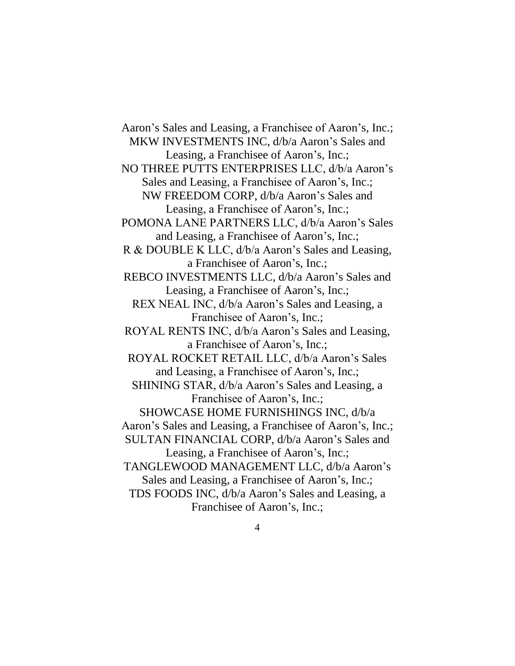Aaron's Sales and Leasing, a Franchisee of Aaron's, Inc.; MKW INVESTMENTS INC, d/b/a Aaron's Sales and Leasing, a Franchisee of Aaron's, Inc.; NO THREE PUTTS ENTERPRISES LLC, d/b/a Aaron's Sales and Leasing, a Franchisee of Aaron's, Inc.; NW FREEDOM CORP, d/b/a Aaron's Sales and Leasing, a Franchisee of Aaron's, Inc.; POMONA LANE PARTNERS LLC, d/b/a Aaron's Sales and Leasing, a Franchisee of Aaron's, Inc.; R & DOUBLE K LLC, d/b/a Aaron's Sales and Leasing, a Franchisee of Aaron's, Inc.; REBCO INVESTMENTS LLC, d/b/a Aaron's Sales and Leasing, a Franchisee of Aaron's, Inc.; REX NEAL INC, d/b/a Aaron's Sales and Leasing, a Franchisee of Aaron's, Inc.; ROYAL RENTS INC, d/b/a Aaron's Sales and Leasing, a Franchisee of Aaron's, Inc.; ROYAL ROCKET RETAIL LLC, d/b/a Aaron's Sales and Leasing, a Franchisee of Aaron's, Inc.; SHINING STAR, d/b/a Aaron's Sales and Leasing, a Franchisee of Aaron's, Inc.; SHOWCASE HOME FURNISHINGS INC, d/b/a Aaron's Sales and Leasing, a Franchisee of Aaron's, Inc.; SULTAN FINANCIAL CORP, d/b/a Aaron's Sales and Leasing, a Franchisee of Aaron's, Inc.; TANGLEWOOD MANAGEMENT LLC, d/b/a Aaron's Sales and Leasing, a Franchisee of Aaron's, Inc.; TDS FOODS INC, d/b/a Aaron's Sales and Leasing, a Franchisee of Aaron's, Inc.;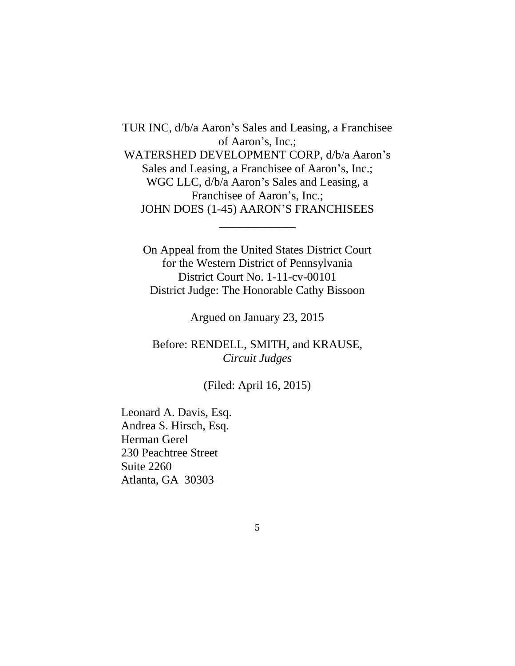TUR INC, d/b/a Aaron's Sales and Leasing, a Franchisee of Aaron's, Inc.; WATERSHED DEVELOPMENT CORP, d/b/a Aaron's Sales and Leasing, a Franchisee of Aaron's, Inc.; WGC LLC, d/b/a Aaron's Sales and Leasing, a Franchisee of Aaron's, Inc.; JOHN DOES (1-45) AARON'S FRANCHISEES

On Appeal from the United States District Court for the Western District of Pennsylvania District Court No. 1-11-cv-00101 District Judge: The Honorable Cathy Bissoon

\_\_\_\_\_\_\_\_\_\_\_\_\_

Argued on January 23, 2015

Before: RENDELL, SMITH, and KRAUSE, *Circuit Judges*

(Filed: April 16, 2015)

Leonard A. Davis, Esq. Andrea S. Hirsch, Esq. Herman Gerel 230 Peachtree Street Suite 2260 Atlanta, GA 30303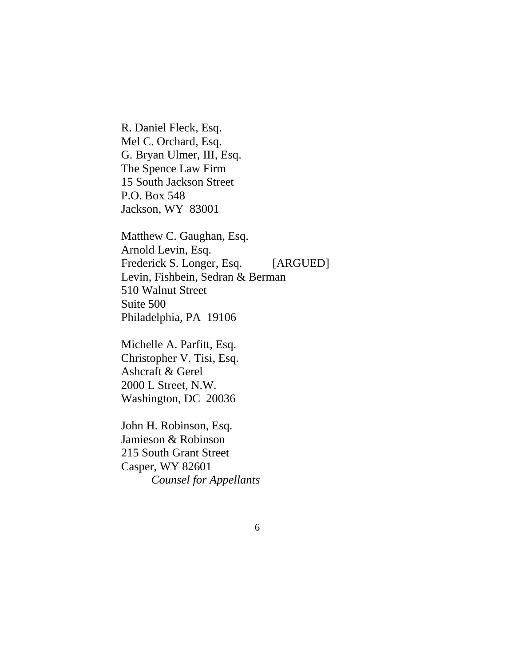R. Daniel Fleck, Esq. Mel C. Orchard, Esq. G. Bryan Ulmer, III, Esq. The Spence Law Firm 15 South Jackson Street P.O. Box 548 Jackson, WY 83001

Matthew C. Gaughan, Esq. Arnold Levin, Esq. Frederick S. Longer, Esq. [ARGUED] Levin, Fishbein, Sedran & Berman 510 Walnut Street Suite 500 Philadelphia, PA 19106

Michelle A. Parfitt, Esq. Christopher V. Tisi, Esq. Ashcraft & Gerel 2000 L Street, N.W. Washington, DC 20036

John H. Robinson, Esq. Jamieson & Robinson 215 South Grant Street Casper, WY 82601 *Counsel for Appellants*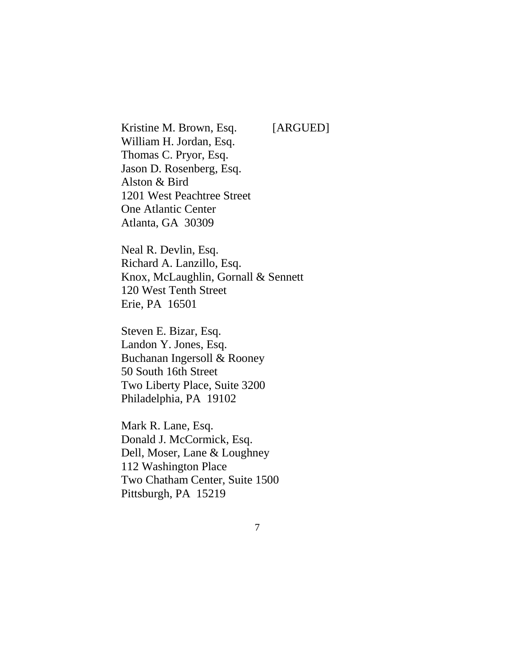Kristine M. Brown, Esq. [ARGUED] William H. Jordan, Esq. Thomas C. Pryor, Esq. Jason D. Rosenberg, Esq. Alston & Bird 1201 West Peachtree Street One Atlantic Center Atlanta, GA 30309

Neal R. Devlin, Esq. Richard A. Lanzillo, Esq. Knox, McLaughlin, Gornall & Sennett 120 West Tenth Street Erie, PA 16501

Steven E. Bizar, Esq. Landon Y. Jones, Esq. Buchanan Ingersoll & Rooney 50 South 16th Street Two Liberty Place, Suite 3200 Philadelphia, PA 19102

Mark R. Lane, Esq. Donald J. McCormick, Esq. Dell, Moser, Lane & Loughney 112 Washington Place Two Chatham Center, Suite 1500 Pittsburgh, PA 15219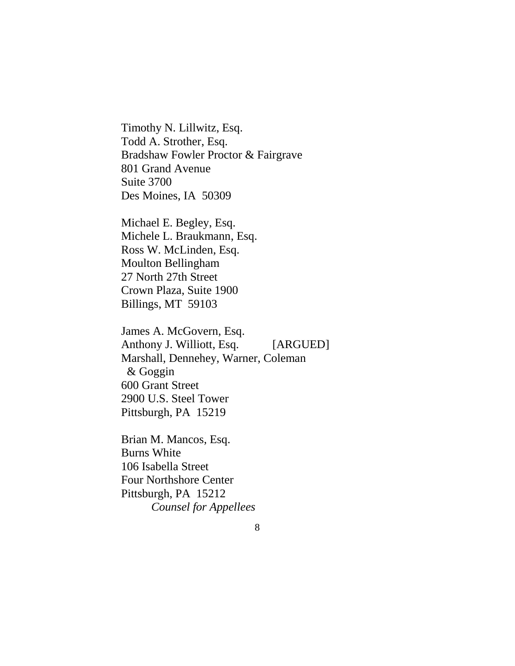Timothy N. Lillwitz, Esq. Todd A. Strother, Esq. Bradshaw Fowler Proctor & Fairgrave 801 Grand Avenue Suite 3700 Des Moines, IA 50309

Michael E. Begley, Esq. Michele L. Braukmann, Esq. Ross W. McLinden, Esq. Moulton Bellingham 27 North 27th Street Crown Plaza, Suite 1900 Billings, MT 59103

James A. McGovern, Esq. Anthony J. Williott, Esq. [ARGUED] Marshall, Dennehey, Warner, Coleman & Goggin 600 Grant Street 2900 U.S. Steel Tower Pittsburgh, PA 15219

Brian M. Mancos, Esq. Burns White 106 Isabella Street Four Northshore Center Pittsburgh, PA 15212 *Counsel for Appellees*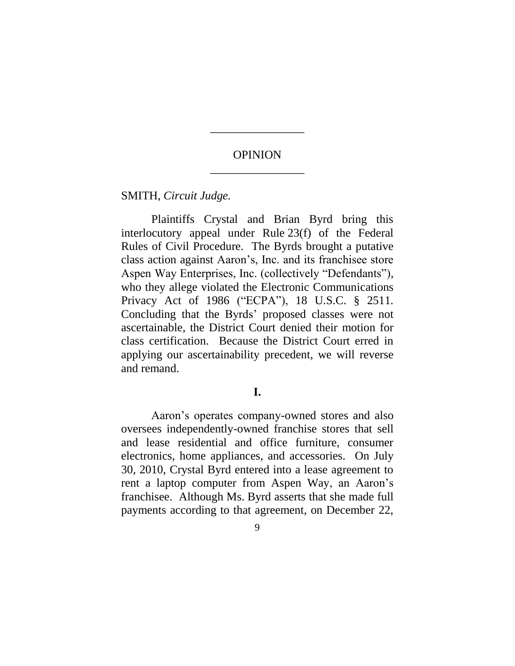# **OPINION** \_\_\_\_\_\_\_\_\_\_\_\_\_\_\_\_

\_\_\_\_\_\_\_\_\_\_\_\_\_\_\_\_

SMITH, *Circuit Judge.*

Plaintiffs Crystal and Brian Byrd bring this interlocutory appeal under Rule 23(f) of the Federal Rules of Civil Procedure. The Byrds brought a putative class action against Aaron's, Inc. and its franchisee store Aspen Way Enterprises, Inc. (collectively "Defendants"), who they allege violated the Electronic Communications Privacy Act of 1986 ("ECPA"), 18 U.S.C. § 2511*.* Concluding that the Byrds' proposed classes were not ascertainable, the District Court denied their motion for class certification. Because the District Court erred in applying our ascertainability precedent, we will reverse and remand.

# **I.**

Aaron's operates company-owned stores and also oversees independently-owned franchise stores that sell and lease residential and office furniture, consumer electronics, home appliances, and accessories. On July 30, 2010, Crystal Byrd entered into a lease agreement to rent a laptop computer from Aspen Way, an Aaron's franchisee. Although Ms. Byrd asserts that she made full payments according to that agreement, on December 22,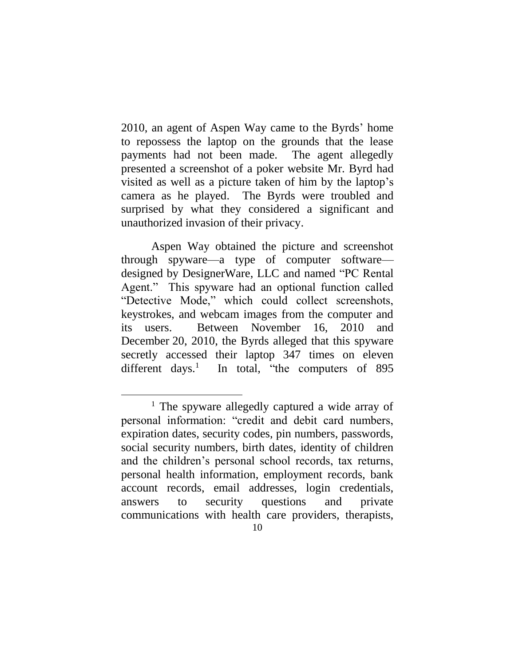2010, an agent of Aspen Way came to the Byrds' home to repossess the laptop on the grounds that the lease payments had not been made. The agent allegedly presented a screenshot of a poker website Mr. Byrd had visited as well as a picture taken of him by the laptop's camera as he played. The Byrds were troubled and surprised by what they considered a significant and unauthorized invasion of their privacy.

Aspen Way obtained the picture and screenshot through spyware—a type of computer software designed by DesignerWare, LLC and named "PC Rental Agent." This spyware had an optional function called "Detective Mode," which could collect screenshots, keystrokes, and webcam images from the computer and its users. Between November 16, 2010 and December 20, 2010, the Byrds alleged that this spyware secretly accessed their laptop 347 times on eleven different days. $\frac{1}{1}$ In total, "the computers of 895

 $\overline{a}$ 

<sup>&</sup>lt;sup>1</sup> The spyware allegedly captured a wide array of personal information: "credit and debit card numbers, expiration dates, security codes, pin numbers, passwords, social security numbers, birth dates, identity of children and the children's personal school records, tax returns, personal health information, employment records, bank account records, email addresses, login credentials, answers to security questions and private communications with health care providers, therapists,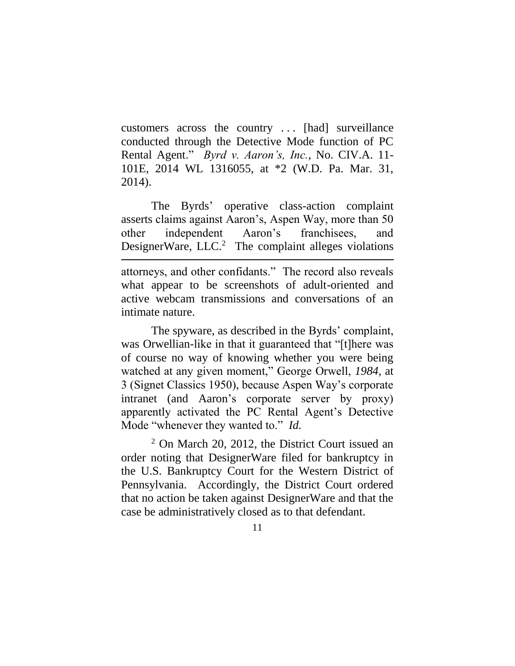customers across the country . . . [had] surveillance conducted through the Detective Mode function of PC Rental Agent." *Byrd v. Aaron's, Inc.*, No. CIV.A. 11- 101E, 2014 WL 1316055, at \*2 (W.D. Pa. Mar. 31, 2014).

The Byrds' operative class-action complaint asserts claims against Aaron's, Aspen Way, more than 50 other independent Aaron's franchisees, and DesignerWare,  $LLC<sup>2</sup>$  The complaint alleges violations

attorneys, and other confidants." The record also reveals what appear to be screenshots of adult-oriented and active webcam transmissions and conversations of an intimate nature.

 $\overline{a}$ 

The spyware, as described in the Byrds' complaint, was Orwellian-like in that it guaranteed that "[t]here was of course no way of knowing whether you were being watched at any given moment," George Orwell, *1984*, at 3 (Signet Classics 1950), because Aspen Way's corporate intranet (and Aaron's corporate server by proxy) apparently activated the PC Rental Agent's Detective Mode "whenever they wanted to." *Id.*

<sup>2</sup> On March 20, 2012, the District Court issued an order noting that DesignerWare filed for bankruptcy in the U.S. Bankruptcy Court for the Western District of Pennsylvania. Accordingly, the District Court ordered that no action be taken against DesignerWare and that the case be administratively closed as to that defendant.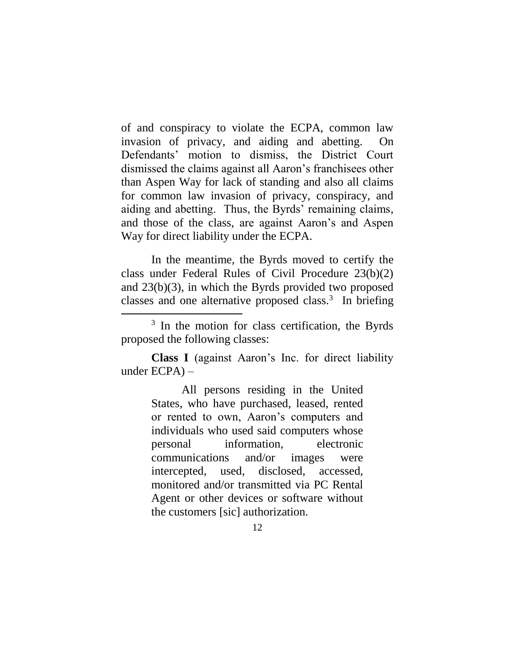of and conspiracy to violate the ECPA, common law invasion of privacy, and aiding and abetting. On Defendants' motion to dismiss, the District Court dismissed the claims against all Aaron's franchisees other than Aspen Way for lack of standing and also all claims for common law invasion of privacy, conspiracy, and aiding and abetting. Thus, the Byrds' remaining claims, and those of the class, are against Aaron's and Aspen Way for direct liability under the ECPA.

In the meantime, the Byrds moved to certify the class under Federal Rules of Civil Procedure 23(b)(2) and 23(b)(3), in which the Byrds provided two proposed classes and one alternative proposed class.<sup>3</sup> In briefing

 $\overline{a}$ 

**Class I** (against Aaron's Inc. for direct liability under ECPA) –

> All persons residing in the United States, who have purchased, leased, rented or rented to own, Aaron's computers and individuals who used said computers whose personal information, electronic communications and/or images were intercepted, used, disclosed, accessed, monitored and/or transmitted via PC Rental Agent or other devices or software without the customers [sic] authorization.

<sup>&</sup>lt;sup>3</sup> In the motion for class certification, the Byrds proposed the following classes: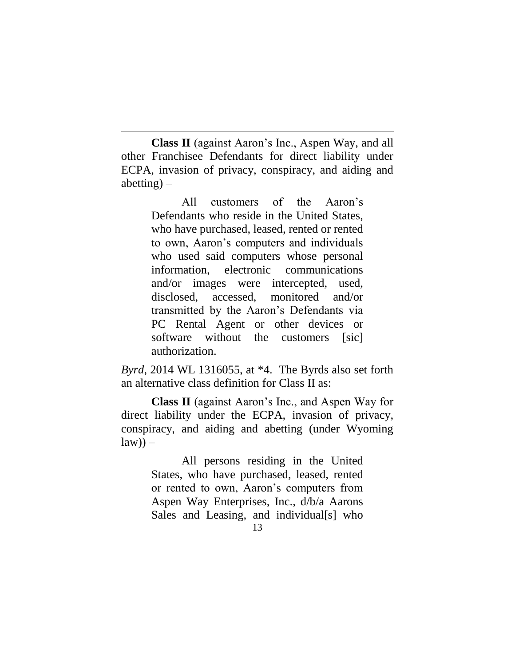**Class II** (against Aaron's Inc., Aspen Way, and all other Franchisee Defendants for direct liability under ECPA, invasion of privacy, conspiracy, and aiding and abetting) –

 $\overline{a}$ 

All customers of the Aaron's Defendants who reside in the United States, who have purchased, leased, rented or rented to own, Aaron's computers and individuals who used said computers whose personal information, electronic communications and/or images were intercepted, used, disclosed, accessed, monitored and/or transmitted by the Aaron's Defendants via PC Rental Agent or other devices or software without the customers [sic] authorization.

*Byrd*, 2014 WL 1316055, at \*4. The Byrds also set forth an alternative class definition for Class II as:

**Class II** (against Aaron's Inc., and Aspen Way for direct liability under the ECPA, invasion of privacy, conspiracy, and aiding and abetting (under Wyoming  $law)$ ) –

> All persons residing in the United States, who have purchased, leased, rented or rented to own, Aaron's computers from Aspen Way Enterprises, Inc., d/b/a Aarons Sales and Leasing, and individual[s] who

<sup>13</sup>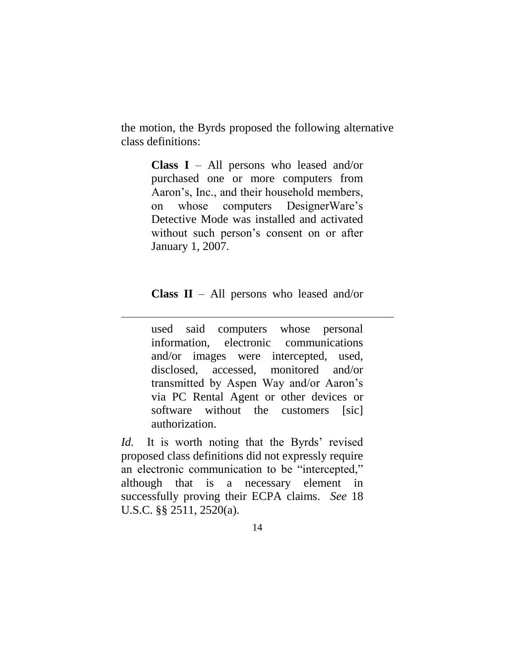the motion, the Byrds proposed the following alternative class definitions:

> **Class I** – All persons who leased and/or purchased one or more computers from Aaron's, Inc., and their household members, on whose computers DesignerWare's Detective Mode was installed and activated without such person's consent on or after January 1, 2007.

> **Class II** – All persons who leased and/or

 $\overline{a}$ 

used said computers whose personal information, electronic communications and/or images were intercepted, used, disclosed, accessed, monitored and/or transmitted by Aspen Way and/or Aaron's via PC Rental Agent or other devices or software without the customers [sic] authorization.

*Id.* It is worth noting that the Byrds' revised proposed class definitions did not expressly require an electronic communication to be "intercepted," although that is a necessary element in successfully proving their ECPA claims. *See* 18 U.S.C. §§ 2511, 2520(a).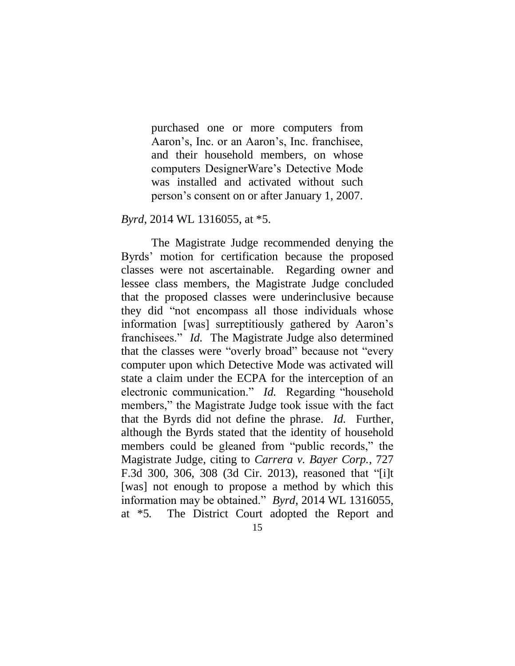purchased one or more computers from Aaron's, Inc. or an Aaron's, Inc. franchisee, and their household members, on whose computers DesignerWare's Detective Mode was installed and activated without such person's consent on or after January 1, 2007.

### *Byrd*, 2014 WL 1316055, at \*5.

The Magistrate Judge recommended denying the Byrds' motion for certification because the proposed classes were not ascertainable. Regarding owner and lessee class members, the Magistrate Judge concluded that the proposed classes were underinclusive because they did "not encompass all those individuals whose information [was] surreptitiously gathered by Aaron's franchisees." *Id.* The Magistrate Judge also determined that the classes were "overly broad" because not "every computer upon which Detective Mode was activated will state a claim under the ECPA for the interception of an electronic communication." *Id.* Regarding "household members," the Magistrate Judge took issue with the fact that the Byrds did not define the phrase. *Id.* Further, although the Byrds stated that the identity of household members could be gleaned from "public records," the Magistrate Judge, citing to *Carrera v. Bayer Corp.*, 727 F.3d 300, 306, 308 (3d Cir. 2013), reasoned that "[i]t [was] not enough to propose a method by which this information may be obtained." *Byrd*, 2014 WL 1316055, at \*5*.* The District Court adopted the Report and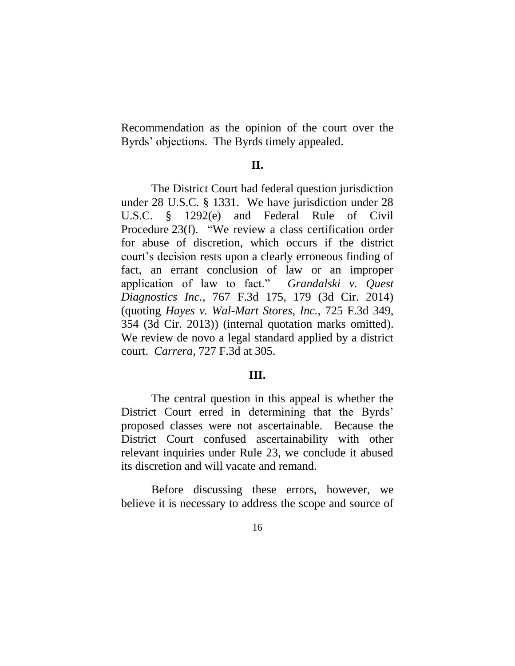Recommendation as the opinion of the court over the Byrds' objections. The Byrds timely appealed.

### **II.**

The District Court had federal question jurisdiction under 28 U.S.C. § 1331. We have jurisdiction under 28 U.S.C. § 1292(e) and Federal Rule of Civil Procedure 23(f). "We review a class certification order for abuse of discretion, which occurs if the district court's decision rests upon a clearly erroneous finding of fact, an errant conclusion of law or an improper application of law to fact." *Grandalski v. Quest Diagnostics Inc.*, 767 F.3d 175, 179 (3d Cir. 2014) (quoting *Hayes v. Wal-Mart Stores, Inc.*, 725 F.3d 349, 354 (3d Cir. 2013)) (internal quotation marks omitted). We review de novo a legal standard applied by a district court. *Carrera*, 727 F.3d at 305.

## **III.**

The central question in this appeal is whether the District Court erred in determining that the Byrds' proposed classes were not ascertainable. Because the District Court confused ascertainability with other relevant inquiries under Rule 23, we conclude it abused its discretion and will vacate and remand.

Before discussing these errors, however, we believe it is necessary to address the scope and source of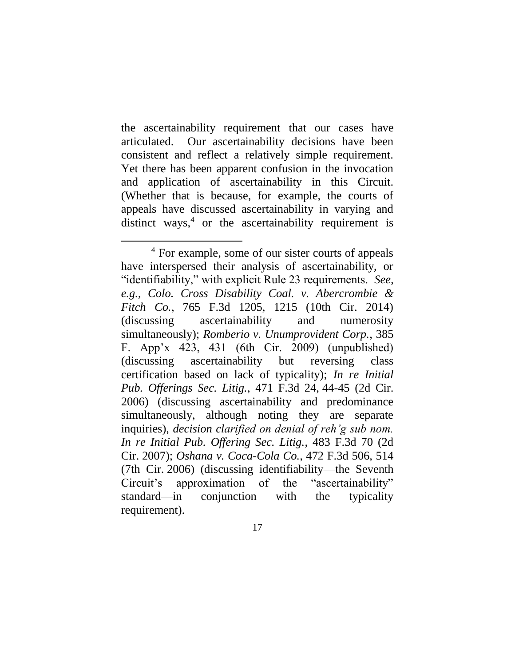the ascertainability requirement that our cases have articulated. Our ascertainability decisions have been consistent and reflect a relatively simple requirement. Yet there has been apparent confusion in the invocation and application of ascertainability in this Circuit. (Whether that is because, for example, the courts of appeals have discussed ascertainability in varying and distinct ways, $4$  or the ascertainability requirement is

 $\overline{a}$ 

<sup>&</sup>lt;sup>4</sup> For example, some of our sister courts of appeals have interspersed their analysis of ascertainability, or "identifiability," with explicit Rule 23 requirements. *See, e.g.*, *Colo. Cross Disability Coal. v. Abercrombie & Fitch Co.*, 765 F.3d 1205, 1215 (10th Cir. 2014) (discussing ascertainability and numerosity simultaneously); *Romberio v. Unumprovident Corp.*, 385 F. App'x 423, 431 (6th Cir. 2009) (unpublished) (discussing ascertainability but reversing class certification based on lack of typicality); *In re Initial Pub. Offerings Sec. Litig.*, 471 F.3d 24, 44-45 (2d Cir. 2006) (discussing ascertainability and predominance simultaneously, although noting they are separate inquiries), *decision clarified on denial of reh'g sub nom. In re Initial Pub. Offering Sec. Litig.*, 483 F.3d 70 (2d Cir. 2007); *Oshana v. Coca-Cola Co.*, 472 F.3d 506, 514 (7th Cir. 2006) (discussing identifiability—the Seventh Circuit's approximation of the "ascertainability" standard—in conjunction with the typicality requirement).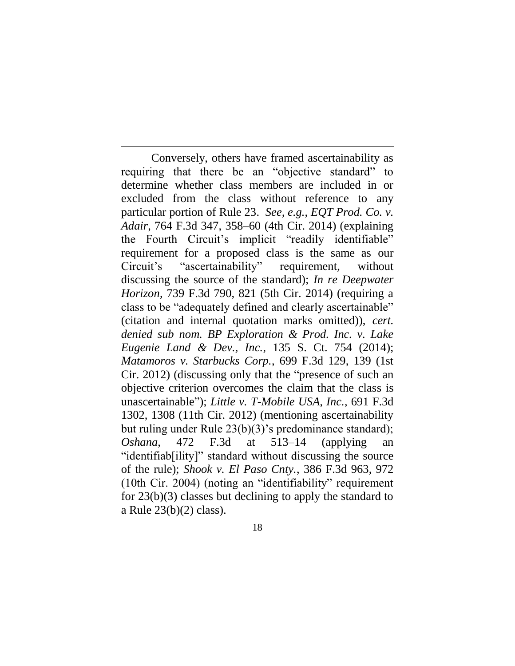Conversely, others have framed ascertainability as requiring that there be an "objective standard" to determine whether class members are included in or excluded from the class without reference to any particular portion of Rule 23. *See, e.g.*, *EQT Prod. Co. v. Adair*, 764 F.3d 347, 358–60 (4th Cir. 2014) (explaining the Fourth Circuit's implicit "readily identifiable" requirement for a proposed class is the same as our Circuit's "ascertainability" requirement, without discussing the source of the standard); *In re Deepwater Horizon*, 739 F.3d 790, 821 (5th Cir. 2014) (requiring a class to be "adequately defined and clearly ascertainable" (citation and internal quotation marks omitted)), *cert. denied sub nom. BP Exploration & Prod. Inc. v. Lake Eugenie Land & Dev., Inc.*, 135 S. Ct. 754 (2014); *Matamoros v. Starbucks Corp.*, 699 F.3d 129, 139 (1st Cir. 2012) (discussing only that the "presence of such an objective criterion overcomes the claim that the class is unascertainable"); *Little v. T-Mobile USA, Inc.*, 691 F.3d 1302, 1308 (11th Cir. 2012) (mentioning ascertainability but ruling under Rule 23(b)(3)'s predominance standard); *Oshana*, 472 F.3d at 513–14 (applying an "identifiab[ility]" standard without discussing the source of the rule); *Shook v. El Paso Cnty.*, 386 F.3d 963, 972 (10th Cir. 2004) (noting an "identifiability" requirement for 23(b)(3) classes but declining to apply the standard to a Rule 23(b)(2) class).

 $\overline{a}$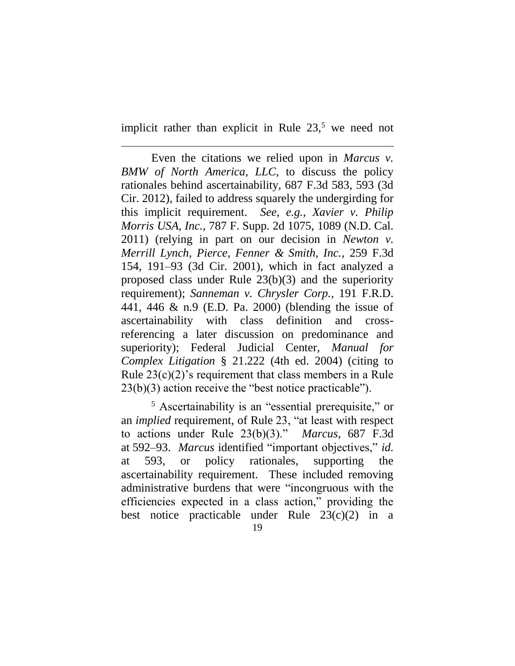implicit rather than explicit in Rule  $23<sup>5</sup>$  we need not

 $\overline{a}$ 

Even the citations we relied upon in *Marcus v. BMW of North America, LLC*, to discuss the policy rationales behind ascertainability, 687 F.3d 583, 593 (3d Cir. 2012), failed to address squarely the undergirding for this implicit requirement. *See, e.g.*, *Xavier v. Philip Morris USA, Inc.*, 787 F. Supp. 2d 1075, 1089 (N.D. Cal. 2011) (relying in part on our decision in *Newton v. Merrill Lynch, Pierce, Fenner & Smith, Inc.*, 259 F.3d 154, 191–93 (3d Cir. 2001), which in fact analyzed a proposed class under Rule 23(b)(3) and the superiority requirement); *Sanneman v. Chrysler Corp.*, 191 F.R.D. 441, 446 & n.9 (E.D. Pa. 2000) (blending the issue of ascertainability with class definition and crossreferencing a later discussion on predominance and superiority); Federal Judicial Center, *Manual for Complex Litigation* § 21.222 (4th ed. 2004) (citing to Rule 23(c)(2)'s requirement that class members in a Rule 23(b)(3) action receive the "best notice practicable").

<sup>5</sup> Ascertainability is an "essential prerequisite," or an *implied* requirement, of Rule 23, "at least with respect to actions under Rule 23(b)(3)." *Marcus*, 687 F.3d at 592–93. *Marcus* identified "important objectives," *id.*  at 593, or policy rationales, supporting the ascertainability requirement. These included removing administrative burdens that were "incongruous with the efficiencies expected in a class action," providing the best notice practicable under Rule 23(c)(2) in a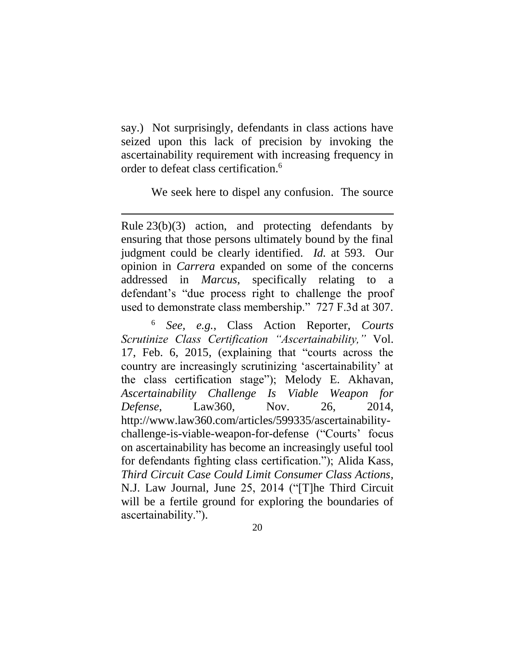say.) Not surprisingly, defendants in class actions have seized upon this lack of precision by invoking the ascertainability requirement with increasing frequency in order to defeat class certification.<sup>6</sup>

We seek here to dispel any confusion. The source

Rule 23(b)(3) action, and protecting defendants by ensuring that those persons ultimately bound by the final judgment could be clearly identified. *Id.* at 593. Our opinion in *Carrera* expanded on some of the concerns addressed in *Marcus*, specifically relating to a defendant's "due process right to challenge the proof used to demonstrate class membership." 727 F.3d at 307.

 $\overline{a}$ 

<sup>6</sup> *See, e.g.*, Class Action Reporter, *Courts Scrutinize Class Certification "Ascertainability,"* Vol. 17, Feb. 6, 2015, (explaining that "courts across the country are increasingly scrutinizing 'ascertainability' at the class certification stage"); Melody E. Akhavan, *Ascertainability Challenge Is Viable Weapon for Defense*, Law360, Nov. 26, 2014, http://www.law360.com/articles/599335/ascertainabilitychallenge-is-viable-weapon-for-defense ("Courts' focus on ascertainability has become an increasingly useful tool for defendants fighting class certification."); Alida Kass, *Third Circuit Case Could Limit Consumer Class Actions*, N.J. Law Journal, June 25, 2014 ("[T]he Third Circuit will be a fertile ground for exploring the boundaries of ascertainability.").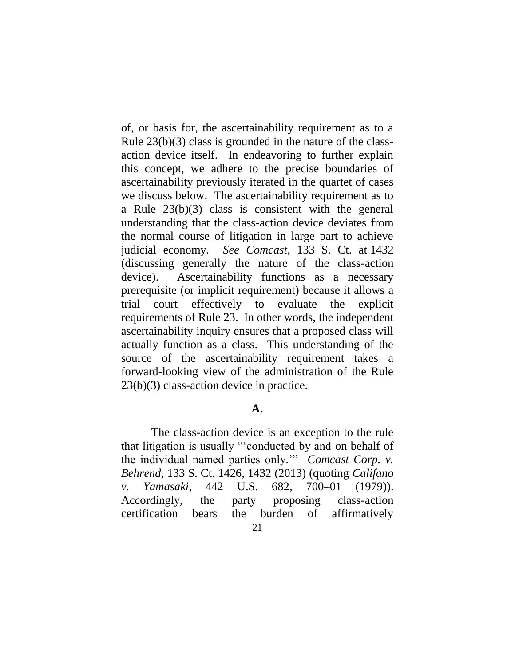of, or basis for, the ascertainability requirement as to a Rule 23(b)(3) class is grounded in the nature of the classaction device itself. In endeavoring to further explain this concept, we adhere to the precise boundaries of ascertainability previously iterated in the quartet of cases we discuss below. The ascertainability requirement as to a Rule 23(b)(3) class is consistent with the general understanding that the class-action device deviates from the normal course of litigation in large part to achieve judicial economy. *See Comcast*, 133 S. Ct. at 1432 (discussing generally the nature of the class-action device). Ascertainability functions as a necessary prerequisite (or implicit requirement) because it allows a trial court effectively to evaluate the explicit requirements of Rule 23. In other words, the independent ascertainability inquiry ensures that a proposed class will actually function as a class. This understanding of the source of the ascertainability requirement takes a forward-looking view of the administration of the Rule 23(b)(3) class-action device in practice.

# **A.**

The class-action device is an exception to the rule that litigation is usually "'conducted by and on behalf of the individual named parties only.'" *Comcast Corp. v. Behrend*, 133 S. Ct. 1426, 1432 (2013) (quoting *Califano v. Yamasaki*, 442 U.S. 682, 700–01 (1979)). Accordingly, the party proposing class-action certification bears the burden of affirmatively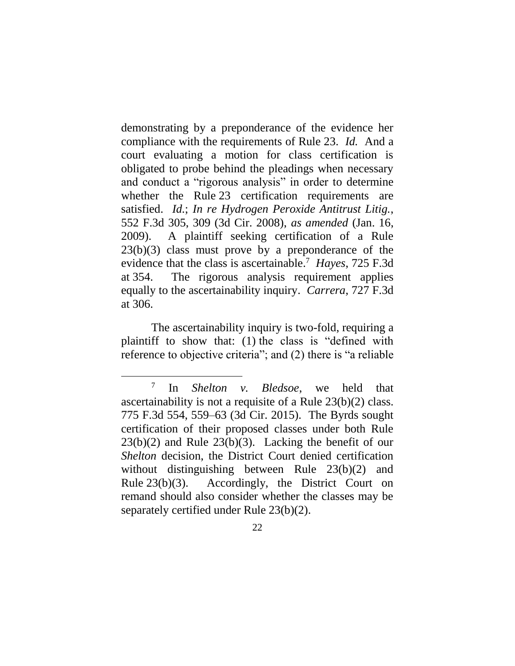demonstrating by a preponderance of the evidence her compliance with the requirements of Rule 23. *Id.* And a court evaluating a motion for class certification is obligated to probe behind the pleadings when necessary and conduct a "rigorous analysis" in order to determine whether the Rule 23 certification requirements are satisfied. *Id.*; *In re Hydrogen Peroxide Antitrust Litig.*, 552 F.3d 305, 309 (3d Cir. 2008), *as amended* (Jan. 16, 2009). A plaintiff seeking certification of a Rule  $23(b)(3)$  class must prove by a preponderance of the evidence that the class is ascertainable.<sup>7</sup> *Hayes*, 725 F.3d at 354. The rigorous analysis requirement applies equally to the ascertainability inquiry. *Carrera*, 727 F.3d at 306.

The ascertainability inquiry is two-fold, requiring a plaintiff to show that: (1) the class is "defined with reference to objective criteria"; and (2) there is "a reliable

 $\overline{a}$ 

<sup>7</sup> In *Shelton v. Bledsoe*, we held that ascertainability is not a requisite of a Rule 23(b)(2) class. 775 F.3d 554, 559–63 (3d Cir. 2015). The Byrds sought certification of their proposed classes under both Rule  $23(b)(2)$  and Rule  $23(b)(3)$ . Lacking the benefit of our *Shelton* decision, the District Court denied certification without distinguishing between Rule 23(b)(2) and Rule 23(b)(3). Accordingly, the District Court on remand should also consider whether the classes may be separately certified under Rule 23(b)(2).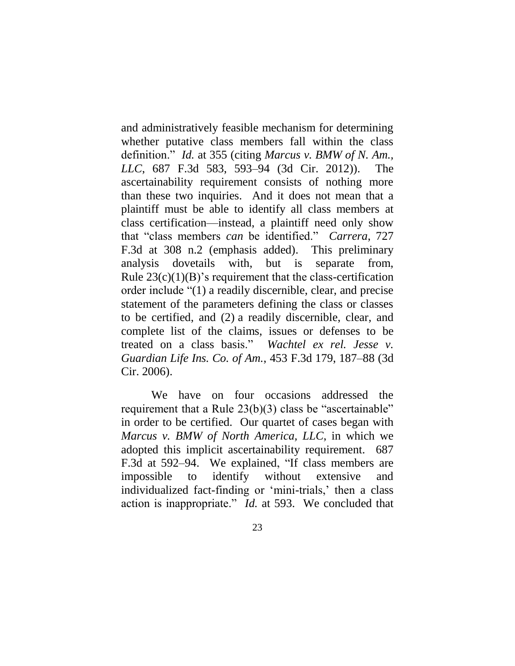and administratively feasible mechanism for determining whether putative class members fall within the class definition." *Id.* at 355 (citing *Marcus v. BMW of N. Am., LLC*, 687 F.3d 583, 593–94 (3d Cir. 2012)). The ascertainability requirement consists of nothing more than these two inquiries. And it does not mean that a plaintiff must be able to identify all class members at class certification—instead, a plaintiff need only show that "class members *can* be identified." *Carrera*, 727 F.3d at 308 n.2 (emphasis added). This preliminary analysis dovetails with, but is separate from, Rule  $23(c)(1)(B)$ 's requirement that the class-certification order include "(1) a readily discernible, clear, and precise statement of the parameters defining the class or classes to be certified, and (2) a readily discernible, clear, and complete list of the claims, issues or defenses to be treated on a class basis." *Wachtel ex rel. Jesse v. Guardian Life Ins. Co. of Am.*, 453 F.3d 179, 187–88 (3d Cir. 2006).

We have on four occasions addressed the requirement that a Rule 23(b)(3) class be "ascertainable" in order to be certified. Our quartet of cases began with *Marcus v. BMW of North America, LLC*, in which we adopted this implicit ascertainability requirement. 687 F.3d at 592–94. We explained, "If class members are impossible to identify without extensive and individualized fact-finding or 'mini-trials,' then a class action is inappropriate." *Id.* at 593. We concluded that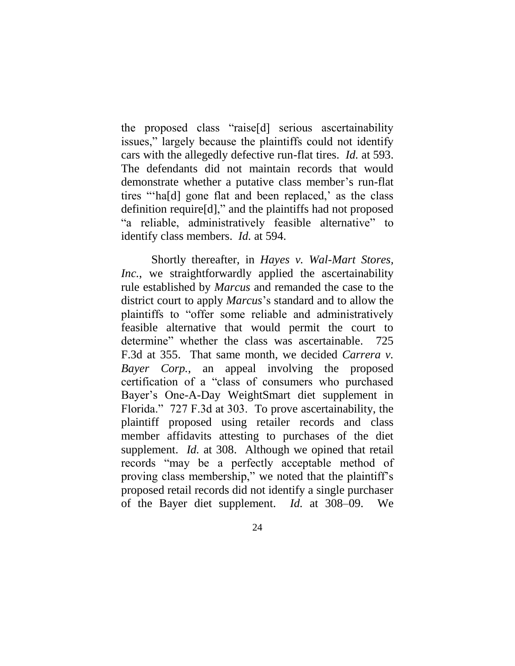the proposed class "raise[d] serious ascertainability issues," largely because the plaintiffs could not identify cars with the allegedly defective run-flat tires. *Id.* at 593. The defendants did not maintain records that would demonstrate whether a putative class member's run-flat tires "'ha[d] gone flat and been replaced,' as the class definition require[d]," and the plaintiffs had not proposed "a reliable, administratively feasible alternative" to identify class members. *Id.* at 594.

Shortly thereafter, in *Hayes v. Wal-Mart Stores, Inc.*, we straightforwardly applied the ascertainability rule established by *Marcus* and remanded the case to the district court to apply *Marcus*'s standard and to allow the plaintiffs to "offer some reliable and administratively feasible alternative that would permit the court to determine" whether the class was ascertainable. 725 F.3d at 355. That same month, we decided *Carrera v. Bayer Corp.*, an appeal involving the proposed certification of a "class of consumers who purchased Bayer's One-A-Day WeightSmart diet supplement in Florida." 727 F.3d at 303. To prove ascertainability, the plaintiff proposed using retailer records and class member affidavits attesting to purchases of the diet supplement. *Id.* at 308. Although we opined that retail records "may be a perfectly acceptable method of proving class membership," we noted that the plaintiff's proposed retail records did not identify a single purchaser of the Bayer diet supplement. *Id.* at 308–09. We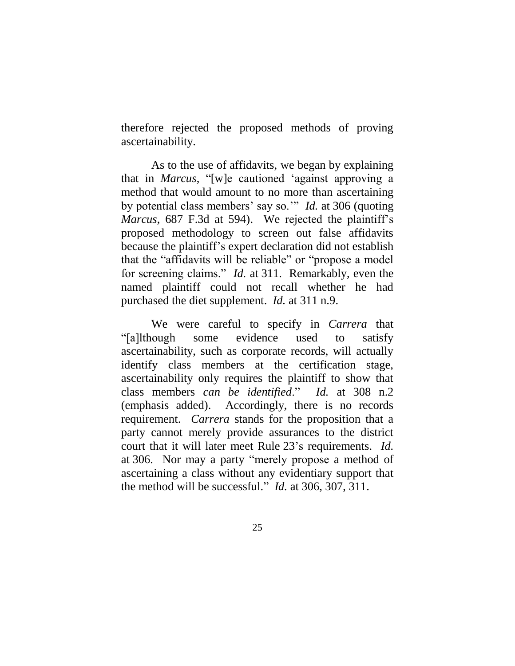therefore rejected the proposed methods of proving ascertainability.

As to the use of affidavits, we began by explaining that in *Marcus*, "[w]e cautioned 'against approving a method that would amount to no more than ascertaining by potential class members' say so.'" *Id.* at 306 (quoting *Marcus*, 687 F.3d at 594). We rejected the plaintiff's proposed methodology to screen out false affidavits because the plaintiff's expert declaration did not establish that the "affidavits will be reliable" or "propose a model for screening claims." *Id.* at 311. Remarkably, even the named plaintiff could not recall whether he had purchased the diet supplement. *Id.* at 311 n.9.

We were careful to specify in *Carrera* that "[a]lthough some evidence used to satisfy ascertainability, such as corporate records, will actually identify class members at the certification stage, ascertainability only requires the plaintiff to show that class members *can be identified*." *Id.* at 308 n.2 (emphasis added). Accordingly, there is no records requirement. *Carrera* stands for the proposition that a party cannot merely provide assurances to the district court that it will later meet Rule 23's requirements. *Id.* at 306. Nor may a party "merely propose a method of ascertaining a class without any evidentiary support that the method will be successful." *Id.* at 306, 307, 311.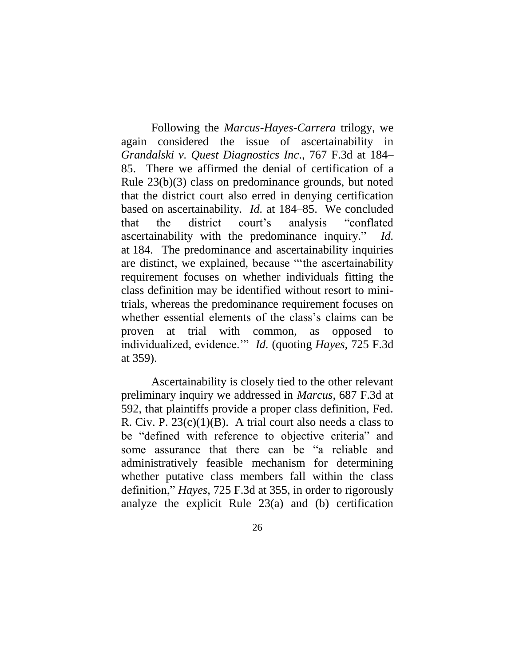Following the *Marcus*-*Hayes*-*Carrera* trilogy, we again considered the issue of ascertainability in *Grandalski v. Quest Diagnostics Inc*., 767 F.3d at 184– 85. There we affirmed the denial of certification of a Rule 23(b)(3) class on predominance grounds, but noted that the district court also erred in denying certification based on ascertainability. *Id.* at 184–85. We concluded that the district court's analysis "conflated ascertainability with the predominance inquiry." *Id.* at 184. The predominance and ascertainability inquiries are distinct, we explained, because "'the ascertainability requirement focuses on whether individuals fitting the class definition may be identified without resort to minitrials, whereas the predominance requirement focuses on whether essential elements of the class's claims can be proven at trial with common, as opposed to individualized, evidence.'" *Id.* (quoting *Hayes*, 725 F.3d at 359).

Ascertainability is closely tied to the other relevant preliminary inquiry we addressed in *Marcus*, 687 F.3d at 592, that plaintiffs provide a proper class definition, Fed. R. Civ. P.  $23(c)(1)(B)$ . A trial court also needs a class to be "defined with reference to objective criteria" and some assurance that there can be "a reliable and administratively feasible mechanism for determining whether putative class members fall within the class definition," *Hayes*, 725 F.3d at 355, in order to rigorously analyze the explicit Rule 23(a) and (b) certification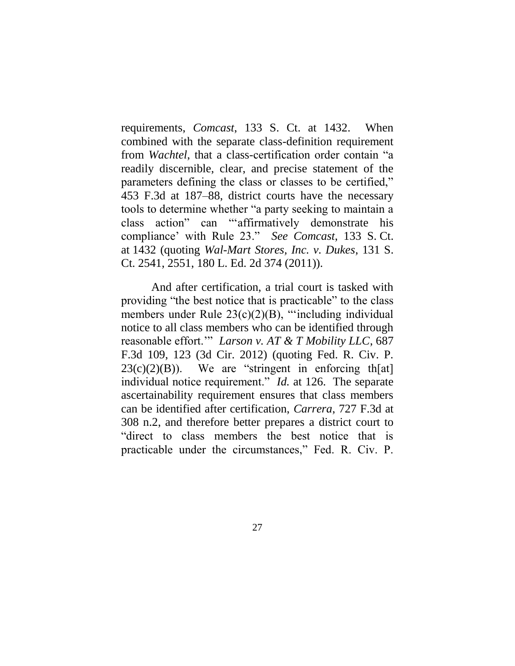requirements, *Comcast*, 133 S. Ct. at 1432. When combined with the separate class-definition requirement from *Wachtel*, that a class-certification order contain "a readily discernible, clear, and precise statement of the parameters defining the class or classes to be certified," 453 F.3d at 187–88, district courts have the necessary tools to determine whether "a party seeking to maintain a class action" can "'affirmatively demonstrate his compliance' with Rule 23." *See Comcast*, 133 S. Ct. at 1432 (quoting *Wal-Mart Stores, Inc. v. Dukes*, 131 S. Ct. 2541, 2551, 180 L. Ed. 2d 374 (2011)).

And after certification, a trial court is tasked with providing "the best notice that is practicable" to the class members under Rule 23(c)(2)(B), "including individual notice to all class members who can be identified through reasonable effort.'" *Larson v. AT & T Mobility LLC*, 687 F.3d 109, 123 (3d Cir. 2012) (quoting Fed. R. Civ. P.  $23(c)(2)(B)$ . We are "stringent in enforcing th[at] individual notice requirement." *Id.* at 126. The separate ascertainability requirement ensures that class members can be identified after certification, *Carrera*, 727 F.3d at 308 n.2, and therefore better prepares a district court to "direct to class members the best notice that is practicable under the circumstances," Fed. R. Civ. P.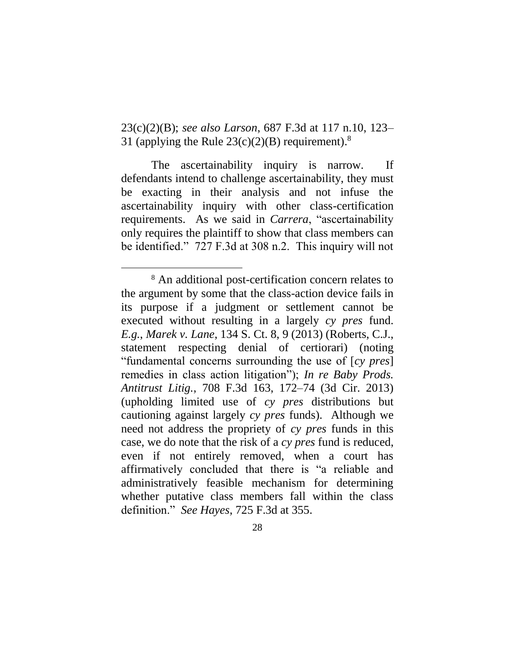23(c)(2)(B); *see also Larson*, 687 F.3d at 117 n.10, 123– 31 (applying the Rule  $23(c)(2)(B)$  requirement).<sup>8</sup>

The ascertainability inquiry is narrow. If defendants intend to challenge ascertainability, they must be exacting in their analysis and not infuse the ascertainability inquiry with other class-certification requirements. As we said in *Carrera*, "ascertainability only requires the plaintiff to show that class members can be identified." 727 F.3d at 308 n.2. This inquiry will not

<sup>8</sup> An additional post-certification concern relates to the argument by some that the class-action device fails in its purpose if a judgment or settlement cannot be executed without resulting in a largely *cy pres* fund. *E.g.*, *Marek v. Lane*, 134 S. Ct. 8, 9 (2013) (Roberts, C.J., statement respecting denial of certiorari) (noting "fundamental concerns surrounding the use of [*cy pres*] remedies in class action litigation"); *In re Baby Prods. Antitrust Litig.*, 708 F.3d 163, 172–74 (3d Cir. 2013) (upholding limited use of *cy pres* distributions but cautioning against largely *cy pres* funds). Although we need not address the propriety of *cy pres* funds in this case, we do note that the risk of a *cy pres* fund is reduced, even if not entirely removed, when a court has affirmatively concluded that there is "a reliable and administratively feasible mechanism for determining whether putative class members fall within the class definition." *See Hayes*, 725 F.3d at 355.

<sup>28</sup>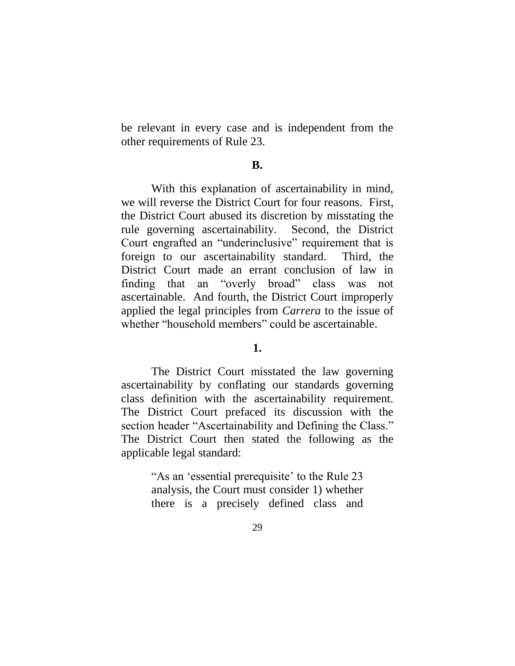be relevant in every case and is independent from the other requirements of Rule 23.

#### **B.**

With this explanation of ascertainability in mind, we will reverse the District Court for four reasons. First, the District Court abused its discretion by misstating the rule governing ascertainability. Second, the District Court engrafted an "underinclusive" requirement that is foreign to our ascertainability standard. Third, the District Court made an errant conclusion of law in finding that an "overly broad" class was not ascertainable. And fourth, the District Court improperly applied the legal principles from *Carrera* to the issue of whether "household members" could be ascertainable.

# **1.**

The District Court misstated the law governing ascertainability by conflating our standards governing class definition with the ascertainability requirement. The District Court prefaced its discussion with the section header "Ascertainability and Defining the Class." The District Court then stated the following as the applicable legal standard:

> "As an 'essential prerequisite' to the Rule 23 analysis, the Court must consider 1) whether there is a precisely defined class and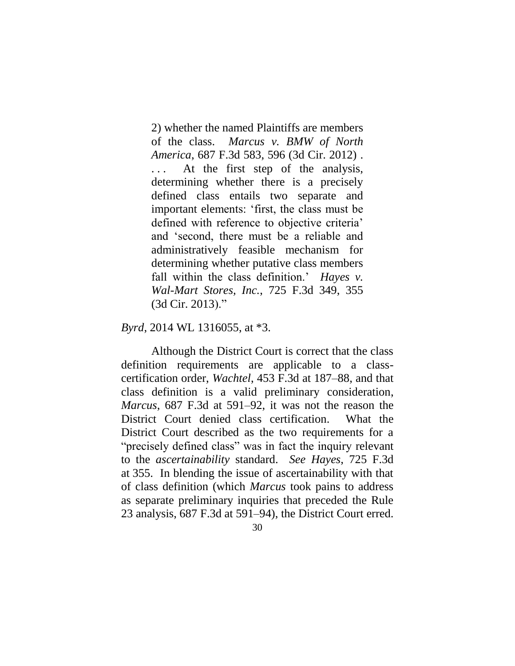2) whether the named Plaintiffs are members of the class. *Marcus v. BMW of North America*, 687 F.3d 583, 596 (3d Cir. 2012) . ... At the first step of the analysis, determining whether there is a precisely defined class entails two separate and important elements: 'first, the class must be defined with reference to objective criteria' and 'second, there must be a reliable and administratively feasible mechanism for determining whether putative class members fall within the class definition.' *Hayes v. Wal-Mart Stores, Inc.*, 725 F.3d 349, 355 (3d Cir. 2013)."

*Byrd*, 2014 WL 1316055, at \*3.

Although the District Court is correct that the class definition requirements are applicable to a classcertification order, *Wachtel*, 453 F.3d at 187–88, and that class definition is a valid preliminary consideration, *Marcus*, 687 F.3d at 591–92, it was not the reason the District Court denied class certification. What the District Court described as the two requirements for a "precisely defined class" was in fact the inquiry relevant to the *ascertainability* standard. *See Hayes*, 725 F.3d at 355. In blending the issue of ascertainability with that of class definition (which *Marcus* took pains to address as separate preliminary inquiries that preceded the Rule 23 analysis, 687 F.3d at 591–94), the District Court erred.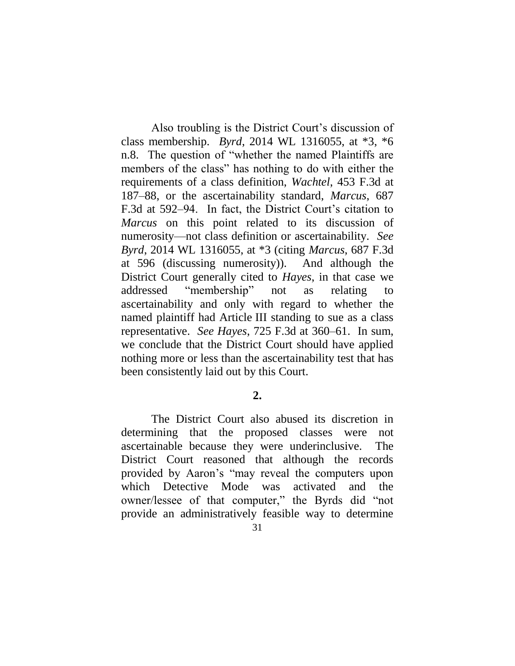Also troubling is the District Court's discussion of class membership. *Byrd*, 2014 WL 1316055, at \*3, \*6 n.8. The question of "whether the named Plaintiffs are members of the class" has nothing to do with either the requirements of a class definition, *Wachtel*, 453 F.3d at 187–88, or the ascertainability standard, *Marcus*, 687 F.3d at 592–94. In fact, the District Court's citation to *Marcus* on this point related to its discussion of numerosity—not class definition or ascertainability. *See Byrd*, 2014 WL 1316055, at \*3 (citing *Marcus*, 687 F.3d at 596 (discussing numerosity)). And although the District Court generally cited to *Hayes*, in that case we addressed "membership" not as relating to ascertainability and only with regard to whether the named plaintiff had Article III standing to sue as a class representative. *See Hayes*, 725 F.3d at 360–61. In sum, we conclude that the District Court should have applied nothing more or less than the ascertainability test that has been consistently laid out by this Court.

# **2.**

The District Court also abused its discretion in determining that the proposed classes were not ascertainable because they were underinclusive. The District Court reasoned that although the records provided by Aaron's "may reveal the computers upon which Detective Mode was activated and the owner/lessee of that computer," the Byrds did "not provide an administratively feasible way to determine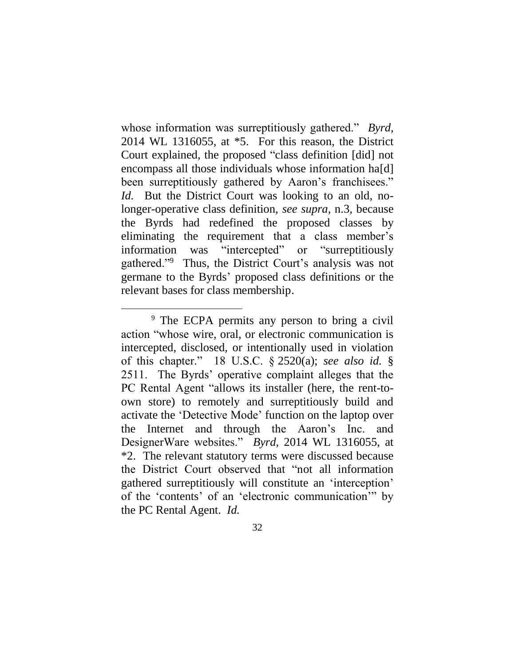whose information was surreptitiously gathered." *Byrd*, 2014 WL 1316055, at \*5. For this reason, the District Court explained, the proposed "class definition [did] not encompass all those individuals whose information ha[d] been surreptitiously gathered by Aaron's franchisees." *Id.* But the District Court was looking to an old, nolonger-operative class definition, *see supra*, n.3*,* because the Byrds had redefined the proposed classes by eliminating the requirement that a class member's information was "intercepted" or "surreptitiously gathered."<sup>9</sup> Thus, the District Court's analysis was not germane to the Byrds' proposed class definitions or the relevant bases for class membership.

 $\overline{a}$ 

<sup>&</sup>lt;sup>9</sup> The ECPA permits any person to bring a civil action "whose wire, oral, or electronic communication is intercepted, disclosed, or intentionally used in violation of this chapter." 18 U.S.C. § 2520(a); *see also id.* § 2511. The Byrds' operative complaint alleges that the PC Rental Agent "allows its installer (here, the rent-toown store) to remotely and surreptitiously build and activate the 'Detective Mode' function on the laptop over the Internet and through the Aaron's Inc. and DesignerWare websites." *Byrd*, 2014 WL 1316055, at \*2. The relevant statutory terms were discussed because the District Court observed that "not all information gathered surreptitiously will constitute an 'interception' of the 'contents' of an 'electronic communication'" by the PC Rental Agent. *Id.*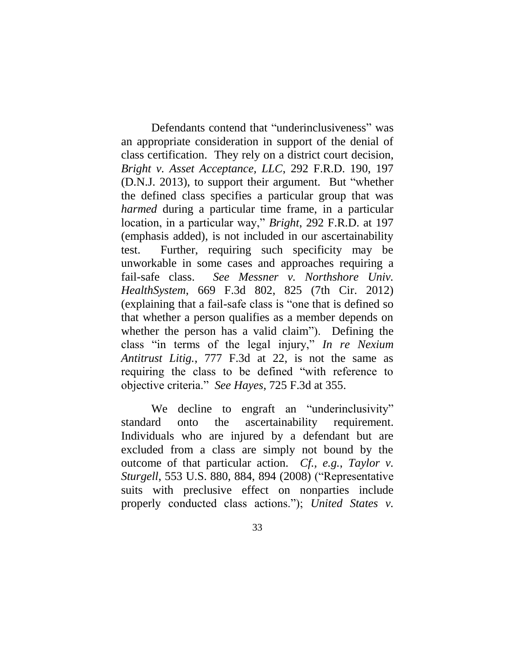Defendants contend that "underinclusiveness" was an appropriate consideration in support of the denial of class certification. They rely on a district court decision, *Bright v. Asset Acceptance, LLC*, 292 F.R.D. 190, 197 (D.N.J. 2013), to support their argument. But "whether the defined class specifies a particular group that was *harmed* during a particular time frame, in a particular location, in a particular way," *Bright*, 292 F.R.D. at 197 (emphasis added), is not included in our ascertainability test. Further, requiring such specificity may be unworkable in some cases and approaches requiring a fail-safe class. *See Messner v. Northshore Univ. HealthSystem*, 669 F.3d 802, 825 (7th Cir. 2012) (explaining that a fail-safe class is "one that is defined so that whether a person qualifies as a member depends on whether the person has a valid claim"). Defining the class "in terms of the legal injury," *In re Nexium Antitrust Litig.*, 777 F.3d at 22, is not the same as requiring the class to be defined "with reference to objective criteria." *See Hayes*, 725 F.3d at 355.

We decline to engraft an "underinclusivity" standard onto the ascertainability requirement. Individuals who are injured by a defendant but are excluded from a class are simply not bound by the outcome of that particular action. *Cf., e.g.*, *Taylor v. Sturgell*, 553 U.S. 880, 884, 894 (2008) ("Representative suits with preclusive effect on nonparties include properly conducted class actions."); *United States v.*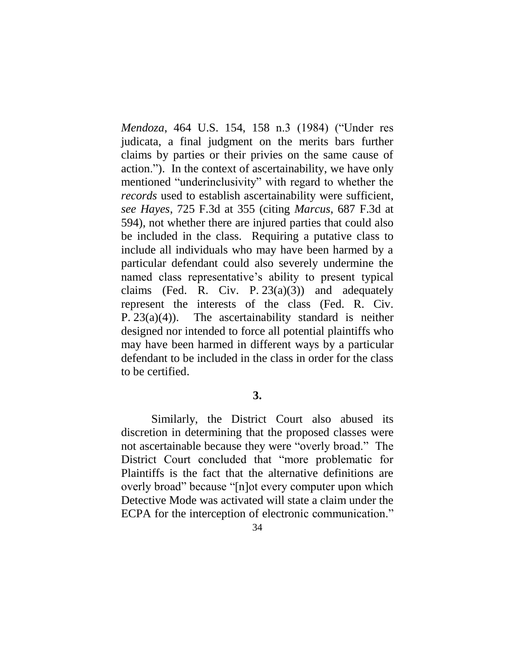*Mendoza*, 464 U.S. 154, 158 n.3 (1984) ("Under res judicata, a final judgment on the merits bars further claims by parties or their privies on the same cause of action."). In the context of ascertainability, we have only mentioned "underinclusivity" with regard to whether the *records* used to establish ascertainability were sufficient, *see Hayes*, 725 F.3d at 355 (citing *Marcus*, 687 F.3d at 594), not whether there are injured parties that could also be included in the class.Requiring a putative class to include all individuals who may have been harmed by a particular defendant could also severely undermine the named class representative's ability to present typical claims (Fed. R. Civ. P.  $23(a)(3)$ ) and adequately represent the interests of the class (Fed. R. Civ. P.  $23(a)(4)$ ). The ascertainability standard is neither designed nor intended to force all potential plaintiffs who may have been harmed in different ways by a particular defendant to be included in the class in order for the class to be certified.

# **3.**

Similarly, the District Court also abused its discretion in determining that the proposed classes were not ascertainable because they were "overly broad." The District Court concluded that "more problematic for Plaintiffs is the fact that the alternative definitions are overly broad" because "[n]ot every computer upon which Detective Mode was activated will state a claim under the ECPA for the interception of electronic communication."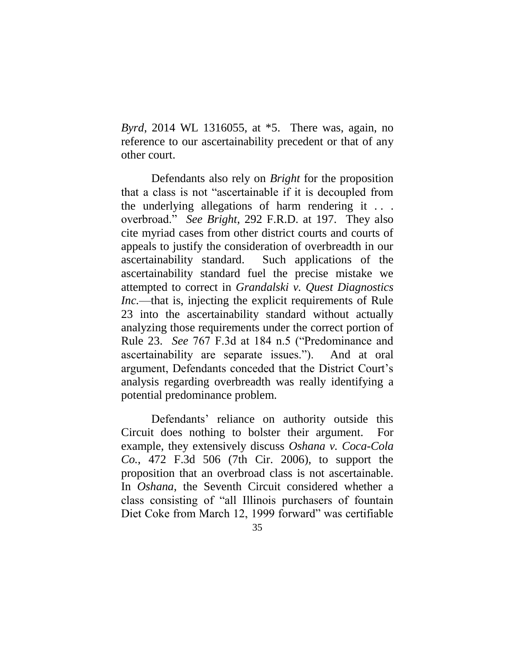*Byrd*, 2014 WL 1316055, at \*5. There was, again, no reference to our ascertainability precedent or that of any other court.

Defendants also rely on *Bright* for the proposition that a class is not "ascertainable if it is decoupled from the underlying allegations of harm rendering it  $\ldots$ . overbroad." *See Bright*, 292 F.R.D. at 197. They also cite myriad cases from other district courts and courts of appeals to justify the consideration of overbreadth in our ascertainability standard. Such applications of the ascertainability standard fuel the precise mistake we attempted to correct in *Grandalski v. Quest Diagnostics Inc.*—that is, injecting the explicit requirements of Rule 23 into the ascertainability standard without actually analyzing those requirements under the correct portion of Rule 23. *See* 767 F.3d at 184 n.5 ("Predominance and ascertainability are separate issues."). And at oral argument, Defendants conceded that the District Court's analysis regarding overbreadth was really identifying a potential predominance problem.

Defendants' reliance on authority outside this Circuit does nothing to bolster their argument. For example, they extensively discuss *Oshana v. Coca-Cola Co.*, 472 F.3d 506 (7th Cir. 2006), to support the proposition that an overbroad class is not ascertainable. In *Oshana*, the Seventh Circuit considered whether a class consisting of "all Illinois purchasers of fountain Diet Coke from March 12, 1999 forward" was certifiable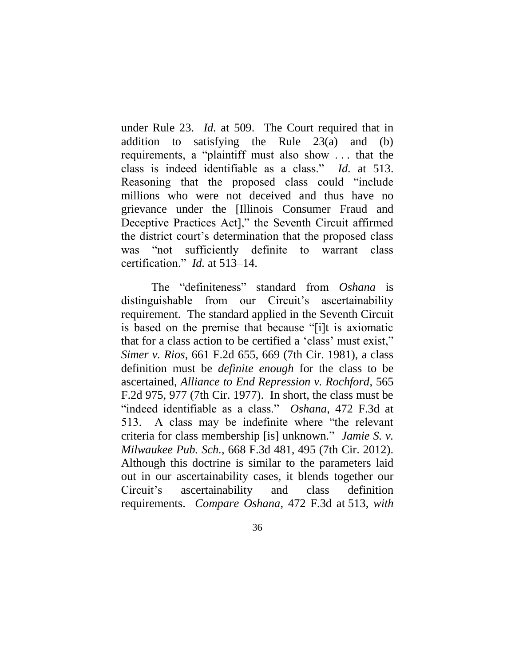under Rule 23. *Id.* at 509. The Court required that in addition to satisfying the Rule 23(a) and (b) requirements, a "plaintiff must also show . . . that the class is indeed identifiable as a class." *Id.* at 513. Reasoning that the proposed class could "include millions who were not deceived and thus have no grievance under the [Illinois Consumer Fraud and Deceptive Practices Act]," the Seventh Circuit affirmed the district court's determination that the proposed class was "not sufficiently definite to warrant class certification." *Id.* at 513–14.

The "definiteness" standard from *Oshana* is distinguishable from our Circuit's ascertainability requirement. The standard applied in the Seventh Circuit is based on the premise that because "[i]t is axiomatic that for a class action to be certified a 'class' must exist," *Simer v. Rios*, 661 F.2d 655, 669 (7th Cir. 1981), a class definition must be *definite enough* for the class to be ascertained, *Alliance to End Repression v. Rochford*, 565 F.2d 975, 977 (7th Cir. 1977). In short, the class must be "indeed identifiable as a class." *Oshana*, 472 F.3d at 513. A class may be indefinite where "the relevant criteria for class membership [is] unknown*.*" *Jamie S. v. Milwaukee Pub. Sch.*, 668 F.3d 481, 495 (7th Cir. 2012). Although this doctrine is similar to the parameters laid out in our ascertainability cases, it blends together our Circuit's ascertainability and class definition requirements. *Compare Oshana*, 472 F.3d at 513, *with*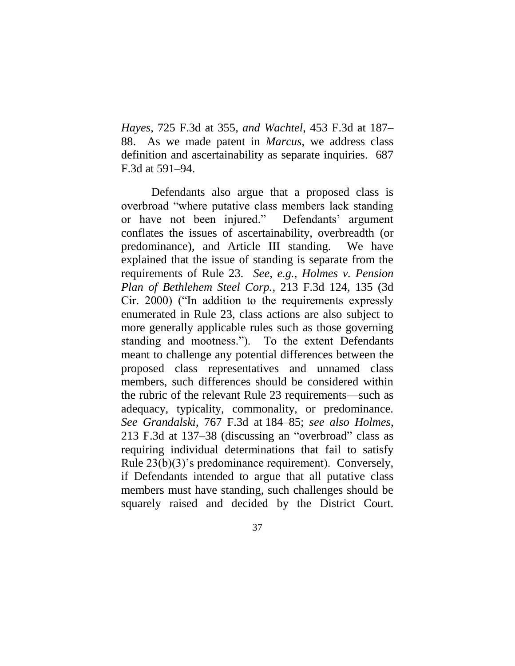*Hayes*, 725 F.3d at 355, *and Wachtel*, 453 F.3d at 187– 88. As we made patent in *Marcus*, we address class definition and ascertainability as separate inquiries. 687 F.3d at 591–94.

Defendants also argue that a proposed class is overbroad "where putative class members lack standing or have not been injured." Defendants' argument conflates the issues of ascertainability, overbreadth (or predominance), and Article III standing. We have explained that the issue of standing is separate from the requirements of Rule 23*. See, e.g.*, *Holmes v. Pension Plan of Bethlehem Steel Corp.*, 213 F.3d 124, 135 (3d Cir. 2000) ("In addition to the requirements expressly enumerated in Rule 23, class actions are also subject to more generally applicable rules such as those governing standing and mootness."). To the extent Defendants meant to challenge any potential differences between the proposed class representatives and unnamed class members, such differences should be considered within the rubric of the relevant Rule 23 requirements—such as adequacy, typicality, commonality, or predominance. *See Grandalski*, 767 F.3d at 184–85; *see also Holmes*, 213 F.3d at 137–38 (discussing an "overbroad" class as requiring individual determinations that fail to satisfy Rule 23(b)(3)'s predominance requirement). Conversely, if Defendants intended to argue that all putative class members must have standing, such challenges should be squarely raised and decided by the District Court.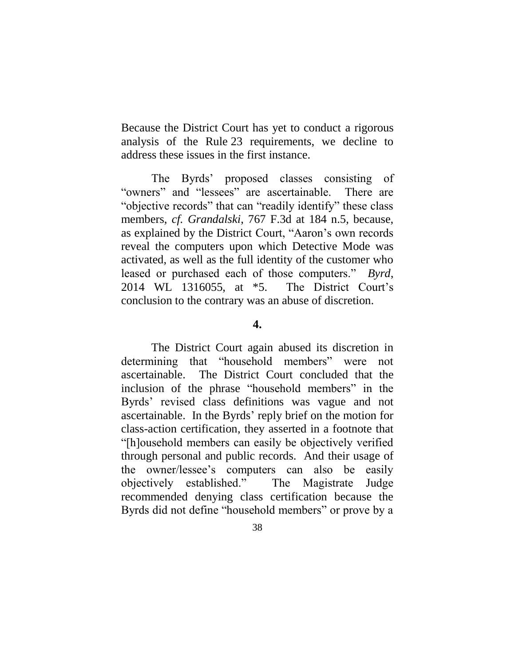Because the District Court has yet to conduct a rigorous analysis of the Rule 23 requirements, we decline to address these issues in the first instance.

The Byrds' proposed classes consisting of "owners" and "lessees" are ascertainable. There are "objective records" that can "readily identify" these class members, *cf. Grandalski*, 767 F.3d at 184 n.5, because, as explained by the District Court, "Aaron's own records reveal the computers upon which Detective Mode was activated, as well as the full identity of the customer who leased or purchased each of those computers." *Byrd*, 2014 WL 1316055, at \*5.The District Court's conclusion to the contrary was an abuse of discretion.

### **4.**

The District Court again abused its discretion in determining that "household members" were not ascertainable. The District Court concluded that the inclusion of the phrase "household members" in the Byrds' revised class definitions was vague and not ascertainable. In the Byrds' reply brief on the motion for class-action certification, they asserted in a footnote that "[h]ousehold members can easily be objectively verified through personal and public records. And their usage of the owner/lessee's computers can also be easily objectively established." The Magistrate Judge recommended denying class certification because the Byrds did not define "household members" or prove by a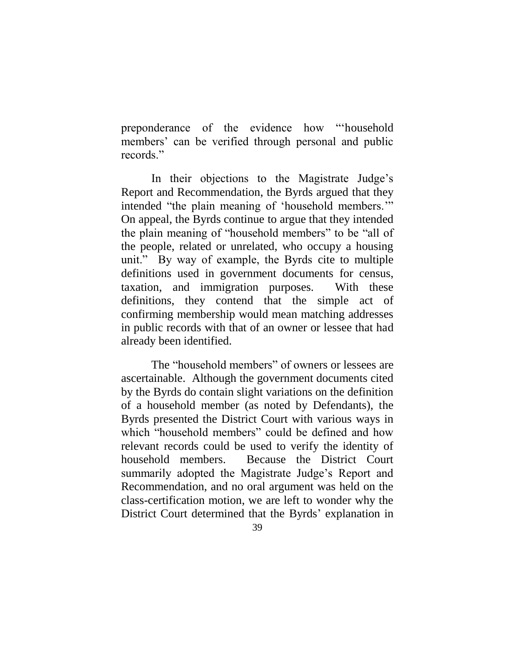preponderance of the evidence how "'household members' can be verified through personal and public records."

In their objections to the Magistrate Judge's Report and Recommendation, the Byrds argued that they intended "the plain meaning of 'household members.'" On appeal, the Byrds continue to argue that they intended the plain meaning of "household members" to be "all of the people, related or unrelated, who occupy a housing unit." By way of example, the Byrds cite to multiple definitions used in government documents for census, taxation, and immigration purposes. With these definitions, they contend that the simple act of confirming membership would mean matching addresses in public records with that of an owner or lessee that had already been identified.

The "household members" of owners or lessees are ascertainable. Although the government documents cited by the Byrds do contain slight variations on the definition of a household member (as noted by Defendants), the Byrds presented the District Court with various ways in which "household members" could be defined and how relevant records could be used to verify the identity of household members. Because the District Court summarily adopted the Magistrate Judge's Report and Recommendation, and no oral argument was held on the class-certification motion, we are left to wonder why the District Court determined that the Byrds' explanation in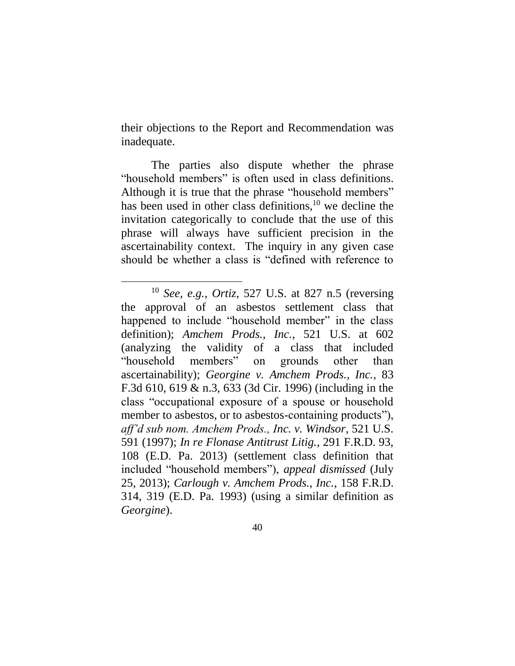their objections to the Report and Recommendation was inadequate.

The parties also dispute whether the phrase "household members" is often used in class definitions. Although it is true that the phrase "household members" has been used in other class definitions,  $10$  we decline the invitation categorically to conclude that the use of this phrase will always have sufficient precision in the ascertainability context. The inquiry in any given case should be whether a class is "defined with reference to

 $\overline{a}$ 

<sup>10</sup> *See, e.g.*, *Ortiz*, 527 U.S. at 827 n.5 (reversing the approval of an asbestos settlement class that happened to include "household member" in the class definition); *Amchem Prods., Inc.*, 521 U.S. at 602 (analyzing the validity of a class that included "household members" on grounds other than ascertainability); *Georgine v. Amchem Prods., Inc.*, 83 F.3d 610, 619 & n.3, 633 (3d Cir. 1996) (including in the class "occupational exposure of a spouse or household member to asbestos, or to asbestos-containing products"), *aff'd sub nom. Amchem Prods., Inc. v. Windsor*, 521 U.S. 591 (1997); *In re Flonase Antitrust Litig.*, 291 F.R.D. 93, 108 (E.D. Pa. 2013) (settlement class definition that included "household members"), *appeal dismissed* (July 25, 2013); *Carlough v. Amchem Prods., Inc.*, 158 F.R.D. 314, 319 (E.D. Pa. 1993) (using a similar definition as *Georgine*).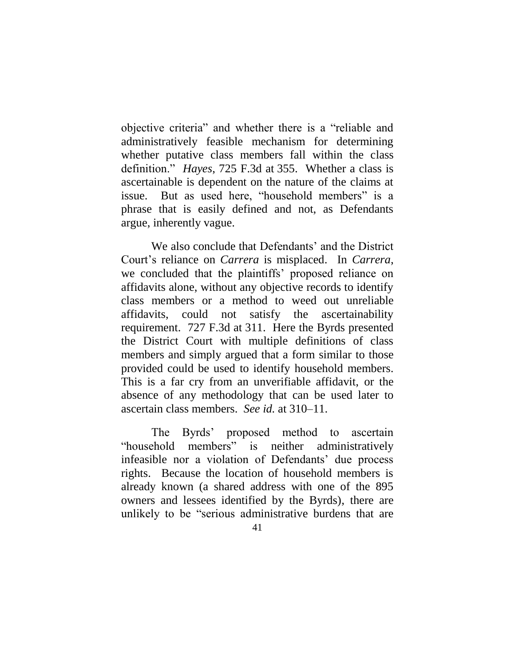objective criteria" and whether there is a "reliable and administratively feasible mechanism for determining whether putative class members fall within the class definition." *Hayes*, 725 F.3d at 355. Whether a class is ascertainable is dependent on the nature of the claims at issue. But as used here, "household members" is a phrase that is easily defined and not, as Defendants argue, inherently vague.

We also conclude that Defendants' and the District Court's reliance on *Carrera* is misplaced. In *Carrera*, we concluded that the plaintiffs' proposed reliance on affidavits alone, without any objective records to identify class members or a method to weed out unreliable affidavits, could not satisfy the ascertainability requirement. 727 F.3d at 311. Here the Byrds presented the District Court with multiple definitions of class members and simply argued that a form similar to those provided could be used to identify household members. This is a far cry from an unverifiable affidavit, or the absence of any methodology that can be used later to ascertain class members. *See id.* at 310–11.

The Byrds' proposed method to ascertain "household members" is neither administratively infeasible nor a violation of Defendants' due process rights. Because the location of household members is already known (a shared address with one of the 895 owners and lessees identified by the Byrds), there are unlikely to be "serious administrative burdens that are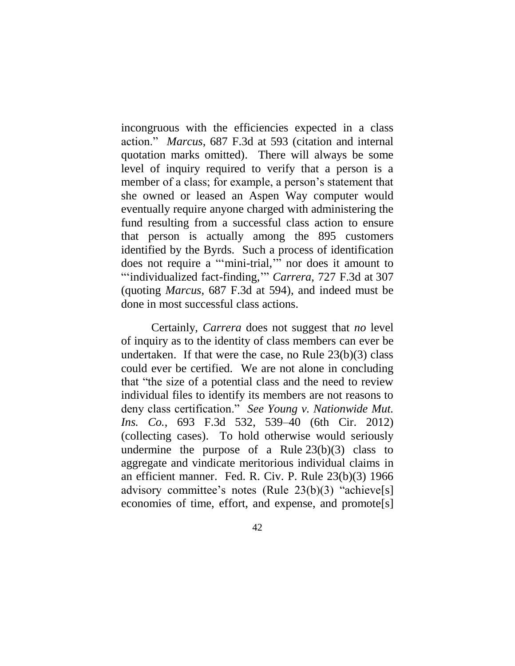incongruous with the efficiencies expected in a class action." *Marcus*, 687 F.3d at 593 (citation and internal quotation marks omitted). There will always be some level of inquiry required to verify that a person is a member of a class; for example, a person's statement that she owned or leased an Aspen Way computer would eventually require anyone charged with administering the fund resulting from a successful class action to ensure that person is actually among the 895 customers identified by the Byrds. Such a process of identification does not require a "'mini-trial,'" nor does it amount to "'individualized fact-finding,'" *Carrera*, 727 F.3d at 307 (quoting *Marcus*, 687 F.3d at 594), and indeed must be done in most successful class actions.

Certainly, *Carrera* does not suggest that *no* level of inquiry as to the identity of class members can ever be undertaken. If that were the case, no Rule  $23(b)(3)$  class could ever be certified. We are not alone in concluding that "the size of a potential class and the need to review individual files to identify its members are not reasons to deny class certification." *See Young v. Nationwide Mut. Ins. Co.*, 693 F.3d 532, 539–40 (6th Cir. 2012) (collecting cases). To hold otherwise would seriously undermine the purpose of a Rule  $23(b)(3)$  class to aggregate and vindicate meritorious individual claims in an efficient manner. Fed. R. Civ. P. Rule 23(b)(3) 1966 advisory committee's notes (Rule 23(b)(3) "achieve[s] economies of time, effort, and expense, and promote[s]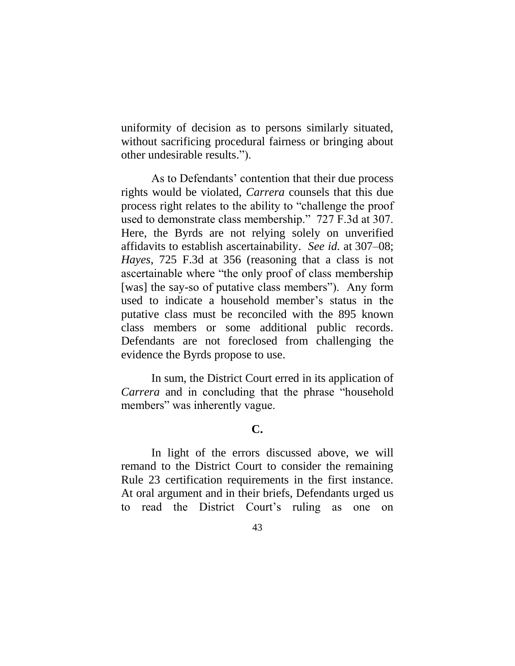uniformity of decision as to persons similarly situated, without sacrificing procedural fairness or bringing about other undesirable results.").

As to Defendants' contention that their due process rights would be violated, *Carrera* counsels that this due process right relates to the ability to "challenge the proof used to demonstrate class membership." 727 F.3d at 307. Here, the Byrds are not relying solely on unverified affidavits to establish ascertainability. *See id.* at 307–08; *Hayes*, 725 F.3d at 356 (reasoning that a class is not ascertainable where "the only proof of class membership [was] the say-so of putative class members"). Any form used to indicate a household member's status in the putative class must be reconciled with the 895 known class members or some additional public records. Defendants are not foreclosed from challenging the evidence the Byrds propose to use.

In sum, the District Court erred in its application of *Carrera* and in concluding that the phrase "household members" was inherently vague.

# **C.**

In light of the errors discussed above, we will remand to the District Court to consider the remaining Rule 23 certification requirements in the first instance. At oral argument and in their briefs, Defendants urged us to read the District Court's ruling as one on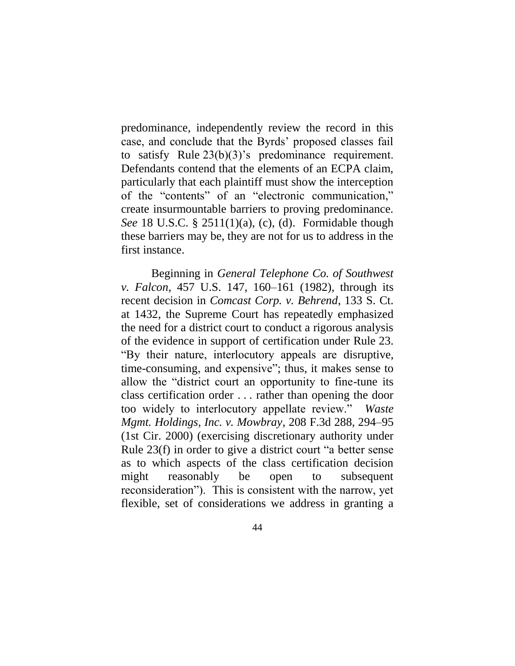predominance, independently review the record in this case, and conclude that the Byrds' proposed classes fail to satisfy Rule 23(b)(3)'s predominance requirement. Defendants contend that the elements of an ECPA claim, particularly that each plaintiff must show the interception of the "contents" of an "electronic communication," create insurmountable barriers to proving predominance. *See* 18 U.S.C. § 2511(1)(a), (c), (d). Formidable though these barriers may be, they are not for us to address in the first instance.

Beginning in *General Telephone Co. of Southwest v. Falcon*, 457 U.S. 147, 160–161 (1982), through its recent decision in *Comcast Corp. v. Behrend*, 133 S. Ct. at 1432, the Supreme Court has repeatedly emphasized the need for a district court to conduct a rigorous analysis of the evidence in support of certification under Rule 23. "By their nature, interlocutory appeals are disruptive, time-consuming, and expensive"; thus, it makes sense to allow the "district court an opportunity to fine-tune its class certification order . . . rather than opening the door too widely to interlocutory appellate review." *Waste Mgmt. Holdings, Inc. v. Mowbray*, 208 F.3d 288, 294–95 (1st Cir. 2000) (exercising discretionary authority under Rule 23(f) in order to give a district court "a better sense as to which aspects of the class certification decision might reasonably be open to subsequent reconsideration"). This is consistent with the narrow, yet flexible, set of considerations we address in granting a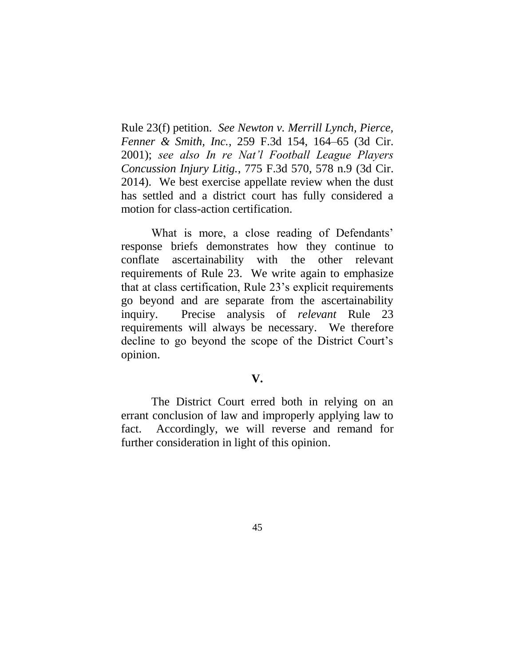Rule 23(f) petition. *See Newton v. Merrill Lynch, Pierce, Fenner & Smith, Inc.*, 259 F.3d 154, 164–65 (3d Cir. 2001); *see also In re Nat'l Football League Players Concussion Injury Litig.*, 775 F.3d 570, 578 n.9 (3d Cir. 2014). We best exercise appellate review when the dust has settled and a district court has fully considered a motion for class-action certification.

What is more, a close reading of Defendants' response briefs demonstrates how they continue to conflate ascertainability with the other relevant requirements of Rule 23. We write again to emphasize that at class certification, Rule 23's explicit requirements go beyond and are separate from the ascertainability inquiry. Precise analysis of *relevant* Rule 23 requirements will always be necessary. We therefore decline to go beyond the scope of the District Court's opinion.

# **V.**

The District Court erred both in relying on an errant conclusion of law and improperly applying law to fact. Accordingly, we will reverse and remand for further consideration in light of this opinion.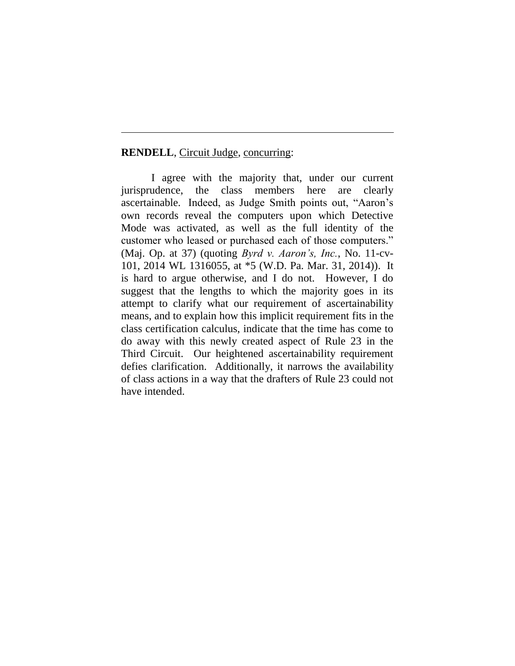### **RENDELL**, Circuit Judge, concurring:

I agree with the majority that, under our current jurisprudence, the class members here are clearly ascertainable. Indeed, as Judge Smith points out, "Aaron's own records reveal the computers upon which Detective Mode was activated, as well as the full identity of the customer who leased or purchased each of those computers." (Maj. Op. at 37) (quoting *Byrd v. Aaron's, Inc.*, No. 11-cv-101, 2014 WL 1316055, at \*5 (W.D. Pa. Mar. 31, 2014)). It is hard to argue otherwise, and I do not. However, I do suggest that the lengths to which the majority goes in its attempt to clarify what our requirement of ascertainability means, and to explain how this implicit requirement fits in the class certification calculus, indicate that the time has come to do away with this newly created aspect of Rule 23 in the Third Circuit. Our heightened ascertainability requirement defies clarification. Additionally, it narrows the availability of class actions in a way that the drafters of Rule 23 could not have intended.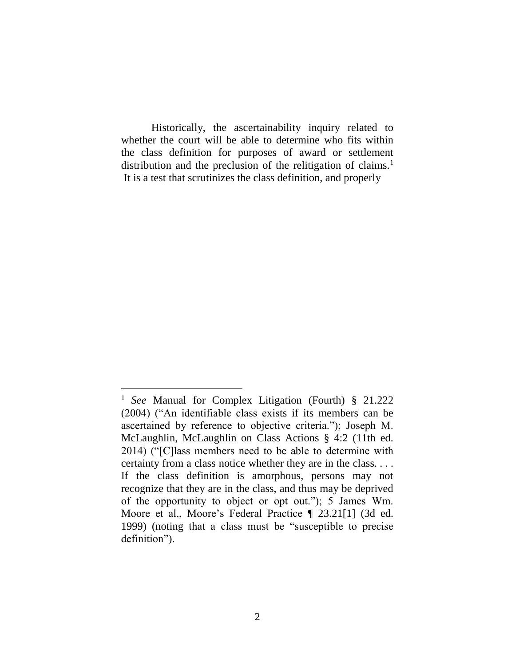Historically, the ascertainability inquiry related to whether the court will be able to determine who fits within the class definition for purposes of award or settlement distribution and the preclusion of the relitigation of claims.<sup>1</sup> It is a test that scrutinizes the class definition, and properly

<sup>1</sup> *See* Manual for Complex Litigation (Fourth) § 21.222 (2004) ("An identifiable class exists if its members can be ascertained by reference to objective criteria."); Joseph M. McLaughlin, McLaughlin on Class Actions § 4:2 (11th ed. 2014) ("[C]lass members need to be able to determine with certainty from a class notice whether they are in the class. . . . If the class definition is amorphous, persons may not recognize that they are in the class, and thus may be deprived of the opportunity to object or opt out."); 5 James Wm. Moore et al., Moore's Federal Practice ¶ 23.21[1] (3d ed. 1999) (noting that a class must be "susceptible to precise definition").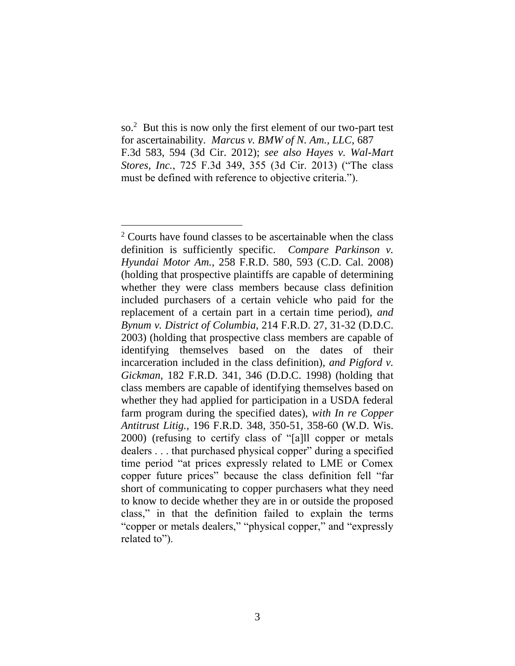so.<sup>2</sup> But this is now only the first element of our two-part test for ascertainability. *Marcus v. BMW of N. Am., LLC*, 687 F.3d 583, 594 (3d Cir. 2012); *see also Hayes v. Wal-Mart Stores, Inc.*, 725 F.3d 349, 355 (3d Cir. 2013) ("The class must be defined with reference to objective criteria.").

<sup>&</sup>lt;sup>2</sup> Courts have found classes to be ascertainable when the class definition is sufficiently specific. *Compare Parkinson v. Hyundai Motor Am.*, 258 F.R.D. 580, 593 (C.D. Cal. 2008) (holding that prospective plaintiffs are capable of determining whether they were class members because class definition included purchasers of a certain vehicle who paid for the replacement of a certain part in a certain time period), *and Bynum v. District of Columbia*, 214 F.R.D. 27, 31-32 (D.D.C. 2003) (holding that prospective class members are capable of identifying themselves based on the dates of their incarceration included in the class definition), *and Pigford v. Gickman*, 182 F.R.D. 341, 346 (D.D.C. 1998) (holding that class members are capable of identifying themselves based on whether they had applied for participation in a USDA federal farm program during the specified dates), *with In re Copper Antitrust Litig.*, 196 F.R.D. 348, 350-51, 358-60 (W.D. Wis. 2000) (refusing to certify class of "[a]ll copper or metals dealers . . . that purchased physical copper" during a specified time period "at prices expressly related to LME or Comex copper future prices" because the class definition fell "far short of communicating to copper purchasers what they need to know to decide whether they are in or outside the proposed class," in that the definition failed to explain the terms "copper or metals dealers," "physical copper," and "expressly related to").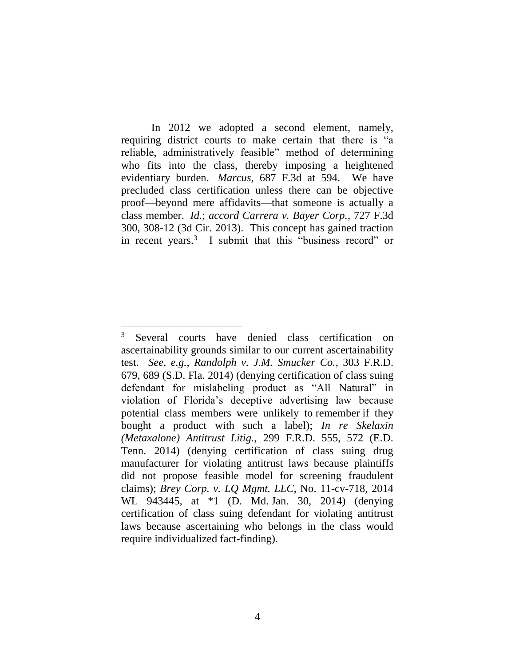In 2012 we adopted a second element, namely, requiring district courts to make certain that there is "a reliable, administratively feasible" method of determining who fits into the class, thereby imposing a heightened evidentiary burden. *Marcus*, 687 F.3d at 594. We have precluded class certification unless there can be objective proof—beyond mere affidavits—that someone is actually a class member. *Id.*; *accord Carrera v. Bayer Corp.*, 727 F.3d 300, 308-12 (3d Cir. 2013). This concept has gained traction in recent years.<sup>3</sup> I submit that this "business record" or

<sup>&</sup>lt;sup>3</sup> Several courts have denied class certification on ascertainability grounds similar to our current ascertainability test. *See, e.g.*, *Randolph v. J.M. Smucker Co.*, 303 F.R.D. 679, 689 (S.D. Fla. 2014) (denying certification of class suing defendant for mislabeling product as "All Natural" in violation of Florida's deceptive advertising law because potential class members were unlikely to remember if they bought a product with such a label); *In re Skelaxin (Metaxalone) Antitrust Litig.*, 299 F.R.D. 555, 572 (E.D. Tenn. 2014) (denying certification of class suing drug manufacturer for violating antitrust laws because plaintiffs did not propose feasible model for screening fraudulent claims); *Brey Corp. v. LQ Mgmt. LLC*, No. 11-cv-718, 2014 WL 943445, at \*1 (D. Md. Jan. 30, 2014) (denying certification of class suing defendant for violating antitrust laws because ascertaining who belongs in the class would require individualized fact-finding).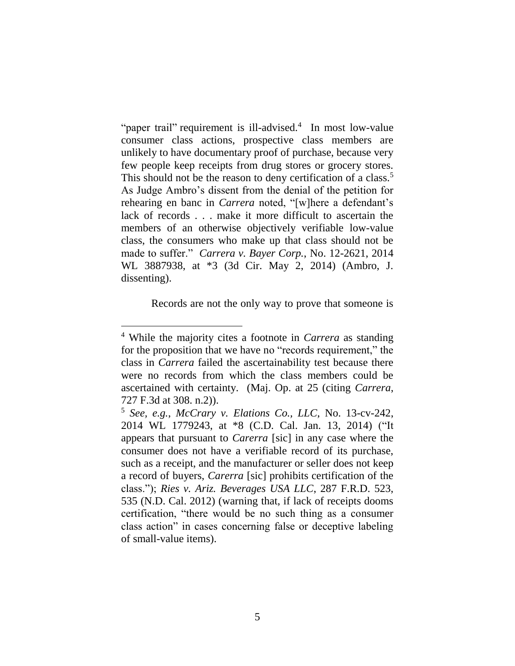"paper trail" requirement is ill-advised.<sup>4</sup> In most low-value consumer class actions, prospective class members are unlikely to have documentary proof of purchase, because very few people keep receipts from drug stores or grocery stores. This should not be the reason to deny certification of a class.<sup>5</sup> As Judge Ambro's dissent from the denial of the petition for rehearing en banc in *Carrera* noted, "[w]here a defendant's lack of records . . . make it more difficult to ascertain the members of an otherwise objectively verifiable low-value class, the consumers who make up that class should not be made to suffer." *Carrera v. Bayer Corp.*, No. 12-2621, 2014 WL 3887938, at \*3 (3d Cir. May 2, 2014) (Ambro, J. dissenting).

Records are not the only way to prove that someone is

<sup>4</sup> While the majority cites a footnote in *Carrera* as standing for the proposition that we have no "records requirement," the class in *Carrera* failed the ascertainability test because there were no records from which the class members could be ascertained with certainty. (Maj. Op. at 25 (citing *Carrera*, 727 F.3d at 308. n.2)).

<sup>5</sup> *See, e.g.*, *McCrary v. Elations Co., LLC*, No. 13-cv-242, 2014 WL 1779243, at \*8 (C.D. Cal. Jan. 13, 2014) ("It appears that pursuant to *Carerra* [sic] in any case where the consumer does not have a verifiable record of its purchase, such as a receipt, and the manufacturer or seller does not keep a record of buyers, *Carerra* [sic] prohibits certification of the class."); *Ries v. Ariz. Beverages USA LLC*, 287 F.R.D. 523, 535 (N.D. Cal. 2012) (warning that, if lack of receipts dooms certification, "there would be no such thing as a consumer class action" in cases concerning false or deceptive labeling of small-value items).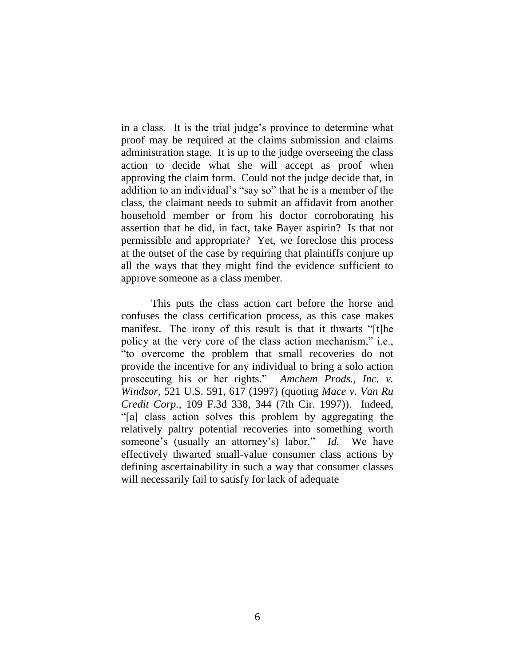in a class. It is the trial judge's province to determine what proof may be required at the claims submission and claims administration stage. It is up to the judge overseeing the class action to decide what she will accept as proof when approving the claim form. Could not the judge decide that, in addition to an individual's "say so" that he is a member of the class, the claimant needs to submit an affidavit from another household member or from his doctor corroborating his assertion that he did, in fact, take Bayer aspirin? Is that not permissible and appropriate? Yet, we foreclose this process at the outset of the case by requiring that plaintiffs conjure up all the ways that they might find the evidence sufficient to approve someone as a class member.

This puts the class action cart before the horse and confuses the class certification process, as this case makes manifest. The irony of this result is that it thwarts "[t]he policy at the very core of the class action mechanism," i.e., "to overcome the problem that small recoveries do not provide the incentive for any individual to bring a solo action prosecuting his or her rights." *Amchem Prods., Inc. v. Windsor*, 521 U.S. 591, 617 (1997) (quoting *Mace v. Van Ru Credit Corp.*, 109 F.3d 338, 344 (7th Cir. 1997)). Indeed, "[a] class action solves this problem by aggregating the relatively paltry potential recoveries into something worth someone's (usually an attorney's) labor." *Id.* We have effectively thwarted small-value consumer class actions by defining ascertainability in such a way that consumer classes will necessarily fail to satisfy for lack of adequate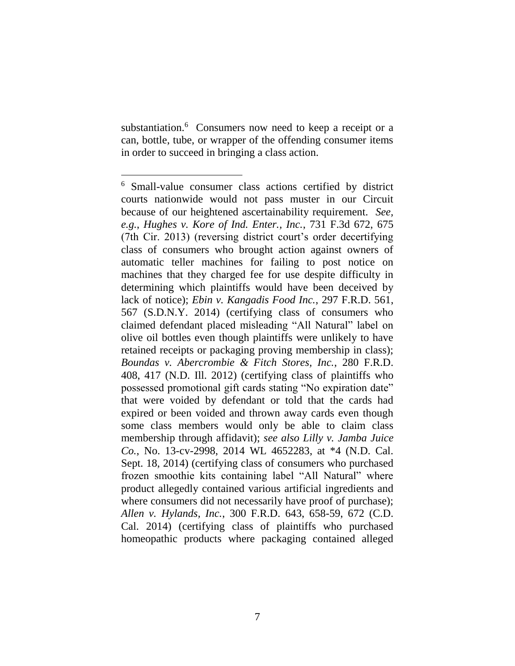substantiation.<sup>6</sup> Consumers now need to keep a receipt or a can, bottle, tube, or wrapper of the offending consumer items in order to succeed in bringing a class action.

<sup>6</sup> Small-value consumer class actions certified by district courts nationwide would not pass muster in our Circuit because of our heightened ascertainability requirement. *See, e.g.*, *Hughes v. Kore of Ind. Enter., Inc.*, 731 F.3d 672, 675 (7th Cir. 2013) (reversing district court's order decertifying class of consumers who brought action against owners of automatic teller machines for failing to post notice on machines that they charged fee for use despite difficulty in determining which plaintiffs would have been deceived by lack of notice); *Ebin v. Kangadis Food Inc.*, 297 F.R.D. 561, 567 (S.D.N.Y. 2014) (certifying class of consumers who claimed defendant placed misleading "All Natural" label on olive oil bottles even though plaintiffs were unlikely to have retained receipts or packaging proving membership in class); *Boundas v. Abercrombie & Fitch Stores, Inc.*, 280 F.R.D. 408, 417 (N.D. Ill. 2012) (certifying class of plaintiffs who possessed promotional gift cards stating "No expiration date" that were voided by defendant or told that the cards had expired or been voided and thrown away cards even though some class members would only be able to claim class membership through affidavit); *see also Lilly v. Jamba Juice Co.*, No. 13-cv-2998, 2014 WL 4652283, at \*4 (N.D. Cal. Sept. 18, 2014) (certifying class of consumers who purchased frozen smoothie kits containing label "All Natural" where product allegedly contained various artificial ingredients and where consumers did not necessarily have proof of purchase); *Allen v. Hylands, Inc.*, 300 F.R.D. 643, 658-59, 672 (C.D. Cal. 2014) (certifying class of plaintiffs who purchased homeopathic products where packaging contained alleged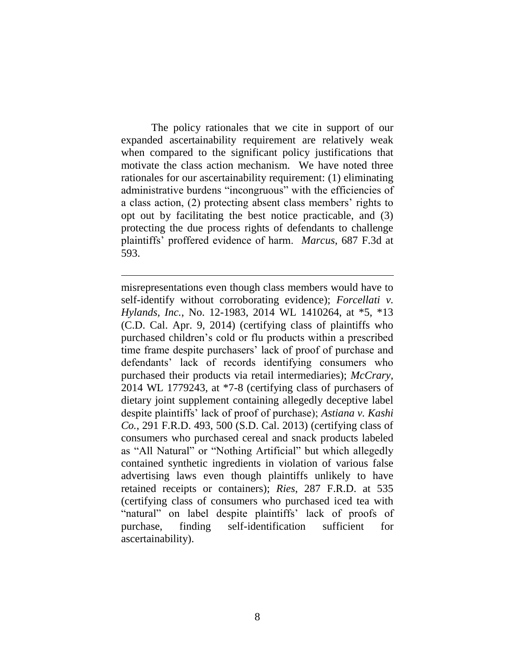The policy rationales that we cite in support of our expanded ascertainability requirement are relatively weak when compared to the significant policy justifications that motivate the class action mechanism. We have noted three rationales for our ascertainability requirement: (1) eliminating administrative burdens "incongruous" with the efficiencies of a class action, (2) protecting absent class members' rights to opt out by facilitating the best notice practicable, and (3) protecting the due process rights of defendants to challenge plaintiffs' proffered evidence of harm. *Marcus*, 687 F.3d at 593.

misrepresentations even though class members would have to self-identify without corroborating evidence); *Forcellati v. Hylands, Inc.*, No. 12-1983, 2014 WL 1410264, at \*5, \*13 (C.D. Cal. Apr. 9, 2014) (certifying class of plaintiffs who purchased children's cold or flu products within a prescribed time frame despite purchasers' lack of proof of purchase and defendants' lack of records identifying consumers who purchased their products via retail intermediaries); *McCrary*, 2014 WL 1779243, at \*7-8 (certifying class of purchasers of dietary joint supplement containing allegedly deceptive label despite plaintiffs' lack of proof of purchase); *Astiana v. Kashi Co.*, 291 F.R.D. 493, 500 (S.D. Cal. 2013) (certifying class of consumers who purchased cereal and snack products labeled as "All Natural" or "Nothing Artificial" but which allegedly contained synthetic ingredients in violation of various false advertising laws even though plaintiffs unlikely to have retained receipts or containers); *Ries*, 287 F.R.D. at 535 (certifying class of consumers who purchased iced tea with "natural" on label despite plaintiffs' lack of proofs of purchase, finding self-identification sufficient for ascertainability).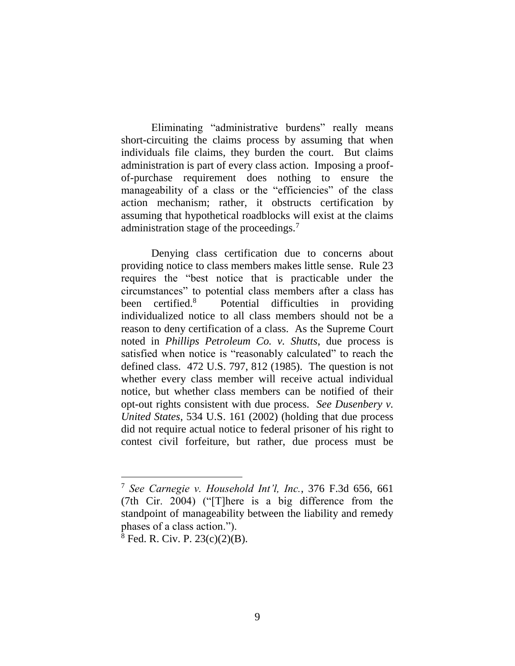Eliminating "administrative burdens" really means short-circuiting the claims process by assuming that when individuals file claims, they burden the court. But claims administration is part of every class action. Imposing a proofof-purchase requirement does nothing to ensure the manageability of a class or the "efficiencies" of the class action mechanism; rather, it obstructs certification by assuming that hypothetical roadblocks will exist at the claims administration stage of the proceedings.<sup>7</sup>

Denying class certification due to concerns about providing notice to class members makes little sense. Rule 23 requires the "best notice that is practicable under the circumstances" to potential class members after a class has been certified.<sup>8</sup> Potential difficulties in providing individualized notice to all class members should not be a reason to deny certification of a class. As the Supreme Court noted in *Phillips Petroleum Co. v. Shutts*, due process is satisfied when notice is "reasonably calculated" to reach the defined class. 472 U.S. 797, 812 (1985). The question is not whether every class member will receive actual individual notice, but whether class members can be notified of their opt-out rights consistent with due process. *See Dusenbery v. United States*, 534 U.S. 161 (2002) (holding that due process did not require actual notice to federal prisoner of his right to contest civil forfeiture, but rather, due process must be

<sup>7</sup> *See Carnegie v. Household Int'l, Inc.*, 376 F.3d 656, 661 (7th Cir. 2004) ("[T]here is a big difference from the standpoint of manageability between the liability and remedy phases of a class action.").

 $8$  Fed. R. Civ. P. 23(c)(2)(B).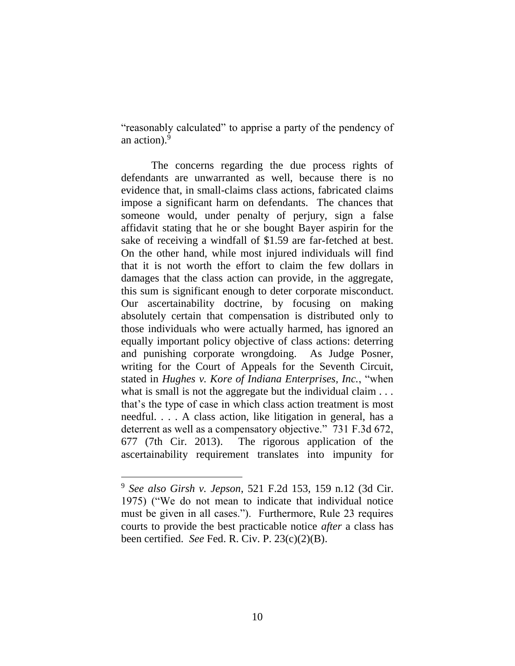"reasonably calculated" to apprise a party of the pendency of an action).<sup>9</sup>

The concerns regarding the due process rights of defendants are unwarranted as well, because there is no evidence that, in small-claims class actions, fabricated claims impose a significant harm on defendants. The chances that someone would, under penalty of perjury, sign a false affidavit stating that he or she bought Bayer aspirin for the sake of receiving a windfall of \$1.59 are far-fetched at best. On the other hand, while most injured individuals will find that it is not worth the effort to claim the few dollars in damages that the class action can provide, in the aggregate, this sum is significant enough to deter corporate misconduct. Our ascertainability doctrine, by focusing on making absolutely certain that compensation is distributed only to those individuals who were actually harmed, has ignored an equally important policy objective of class actions: deterring and punishing corporate wrongdoing. As Judge Posner, writing for the Court of Appeals for the Seventh Circuit, stated in *Hughes v. Kore of Indiana Enterprises, Inc.*, "when what is small is not the aggregate but the individual claim . . . that's the type of case in which class action treatment is most needful. . . . A class action, like litigation in general, has a deterrent as well as a compensatory objective." 731 F.3d 672, 677 (7th Cir. 2013). The rigorous application of the ascertainability requirement translates into impunity for

<sup>9</sup> *See also Girsh v. Jepson*, 521 F.2d 153, 159 n.12 (3d Cir. 1975) ("We do not mean to indicate that individual notice must be given in all cases."). Furthermore, Rule 23 requires courts to provide the best practicable notice *after* a class has been certified. *See* Fed. R. Civ. P. 23(c)(2)(B).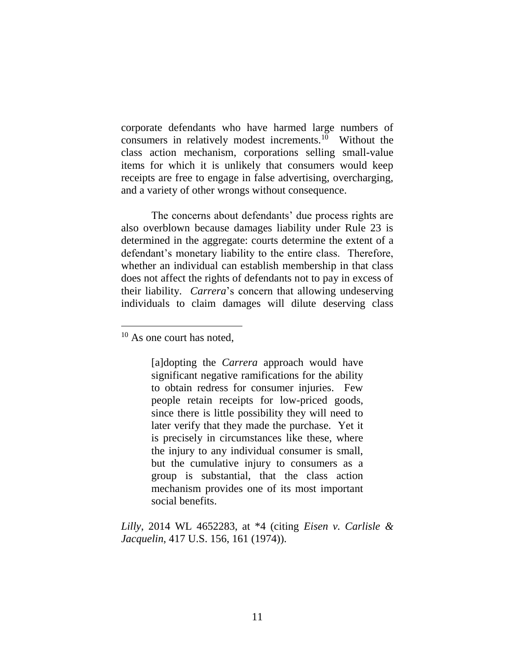corporate defendants who have harmed large numbers of consumers in relatively modest increments.<sup>10</sup> Without the class action mechanism, corporations selling small-value items for which it is unlikely that consumers would keep receipts are free to engage in false advertising, overcharging, and a variety of other wrongs without consequence.

The concerns about defendants' due process rights are also overblown because damages liability under Rule 23 is determined in the aggregate: courts determine the extent of a defendant's monetary liability to the entire class. Therefore, whether an individual can establish membership in that class does not affect the rights of defendants not to pay in excess of their liability. *Carrera*'s concern that allowing undeserving individuals to claim damages will dilute deserving class

<sup>10</sup> As one court has noted,

 $\overline{a}$ 

[a]dopting the *Carrera* approach would have significant negative ramifications for the ability to obtain redress for consumer injuries. Few people retain receipts for low-priced goods, since there is little possibility they will need to later verify that they made the purchase. Yet it is precisely in circumstances like these, where the injury to any individual consumer is small, but the cumulative injury to consumers as a group is substantial, that the class action mechanism provides one of its most important social benefits.

*Lilly*, 2014 WL 4652283, at \*4 (citing *Eisen v. Carlisle & Jacquelin*, 417 U.S. 156, 161 (1974)).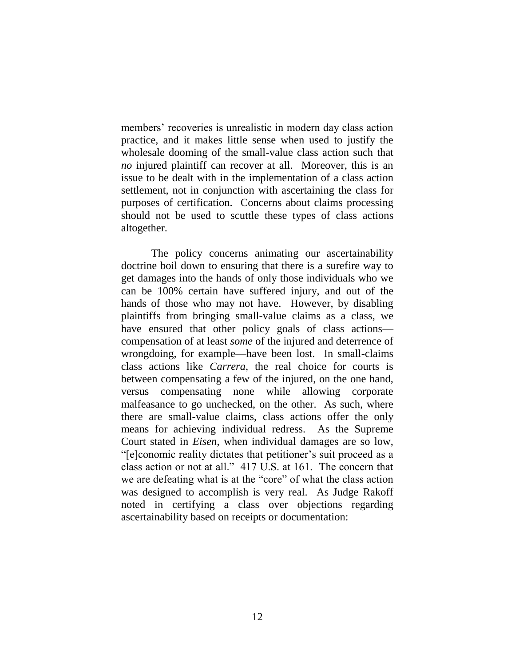members' recoveries is unrealistic in modern day class action practice, and it makes little sense when used to justify the wholesale dooming of the small-value class action such that *no* injured plaintiff can recover at all. Moreover, this is an issue to be dealt with in the implementation of a class action settlement, not in conjunction with ascertaining the class for purposes of certification. Concerns about claims processing should not be used to scuttle these types of class actions altogether.

The policy concerns animating our ascertainability doctrine boil down to ensuring that there is a surefire way to get damages into the hands of only those individuals who we can be 100% certain have suffered injury, and out of the hands of those who may not have. However, by disabling plaintiffs from bringing small-value claims as a class, we have ensured that other policy goals of class actions compensation of at least *some* of the injured and deterrence of wrongdoing, for example—have been lost. In small-claims class actions like *Carrera*, the real choice for courts is between compensating a few of the injured, on the one hand, versus compensating none while allowing corporate malfeasance to go unchecked, on the other. As such, where there are small-value claims, class actions offer the only means for achieving individual redress. As the Supreme Court stated in *Eisen*, when individual damages are so low, "[e]conomic reality dictates that petitioner's suit proceed as a class action or not at all." 417 U.S. at 161. The concern that we are defeating what is at the "core" of what the class action was designed to accomplish is very real. As Judge Rakoff noted in certifying a class over objections regarding ascertainability based on receipts or documentation: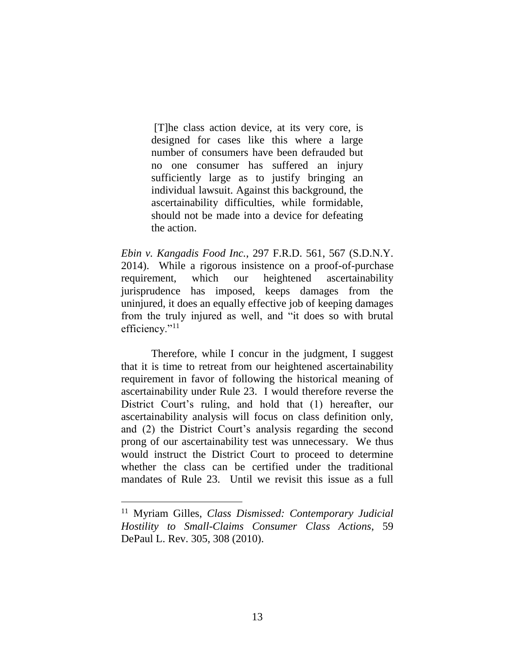[T]he class action device, at its very core, is designed for cases like this where a large number of consumers have been defrauded but no one consumer has suffered an injury sufficiently large as to justify bringing an individual lawsuit. Against this background, the ascertainability difficulties, while formidable, should not be made into a device for defeating the action.

*Ebin v. Kangadis Food Inc.*, 297 F.R.D. 561, 567 (S.D.N.Y. 2014). While a rigorous insistence on a proof-of-purchase requirement, which our heightened ascertainability jurisprudence has imposed, keeps damages from the uninjured, it does an equally effective job of keeping damages from the truly injured as well, and "it does so with brutal efficiency."<sup>11</sup>

Therefore, while I concur in the judgment, I suggest that it is time to retreat from our heightened ascertainability requirement in favor of following the historical meaning of ascertainability under Rule 23. I would therefore reverse the District Court's ruling, and hold that (1) hereafter, our ascertainability analysis will focus on class definition only, and (2) the District Court's analysis regarding the second prong of our ascertainability test was unnecessary. We thus would instruct the District Court to proceed to determine whether the class can be certified under the traditional mandates of Rule 23. Until we revisit this issue as a full

<sup>11</sup> Myriam Gilles, *Class Dismissed: Contemporary Judicial Hostility to Small-Claims Consumer Class Actions*, 59 DePaul L. Rev. 305, 308 (2010).